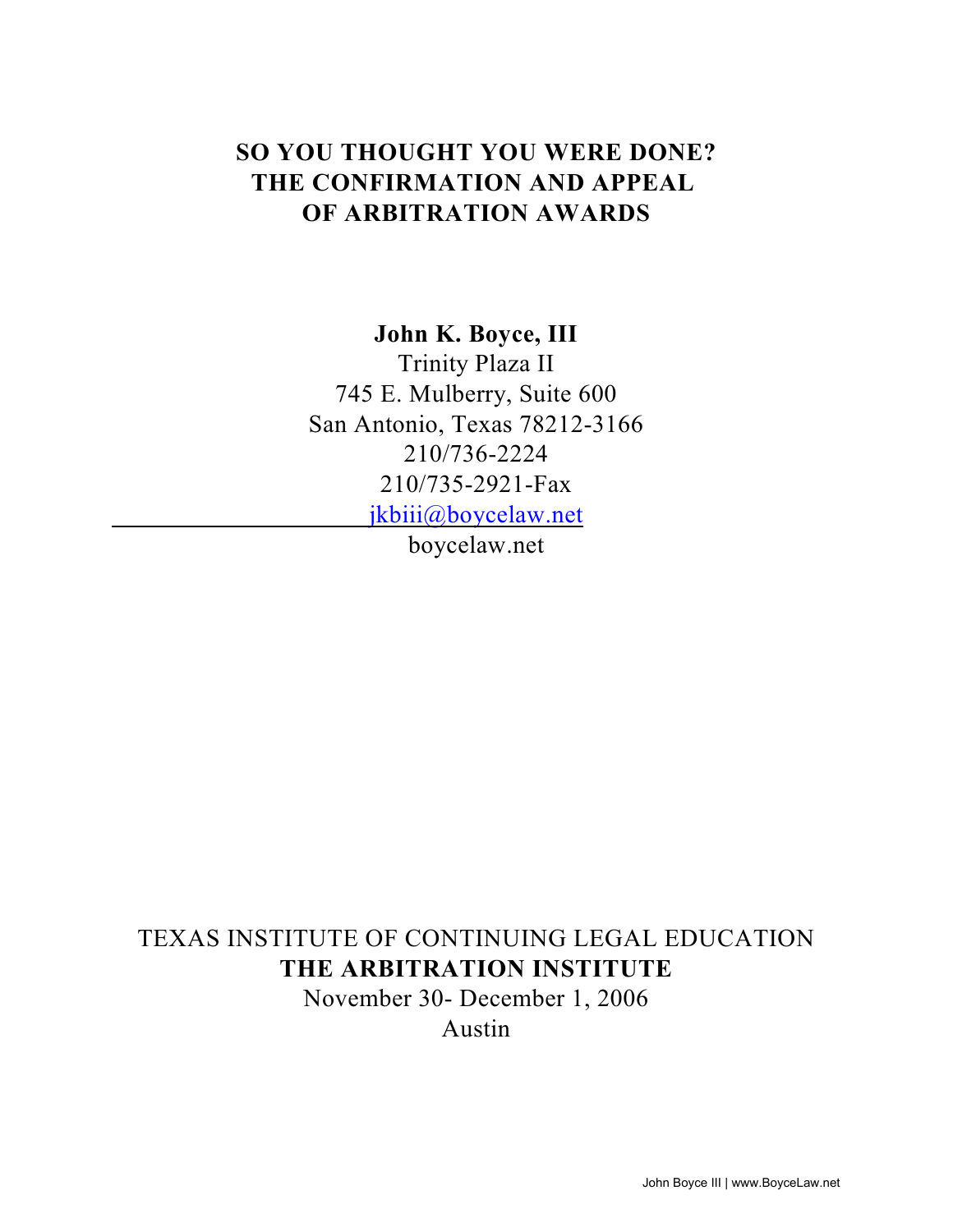# **SO YOU THOUGHT YOU WERE DONE? THE CONFIRMATION AND APPEAL OF ARBITRATION AWARDS**

## **John K. Boyce, III**

Trinity Plaza II 745 E. Mulberry, Suite 600 San Antonio, Texas 78212-3166 210/736-2224 210/735-2921-Fax [jkbiii@boycelaw.net](mailto:jkbiii@stic.net)

boycelaw.net

# TEXAS INSTITUTE OF CONTINUING LEGAL EDUCATION **THE ARBITRATION INSTITUTE**

November 30- December 1, 2006 Austin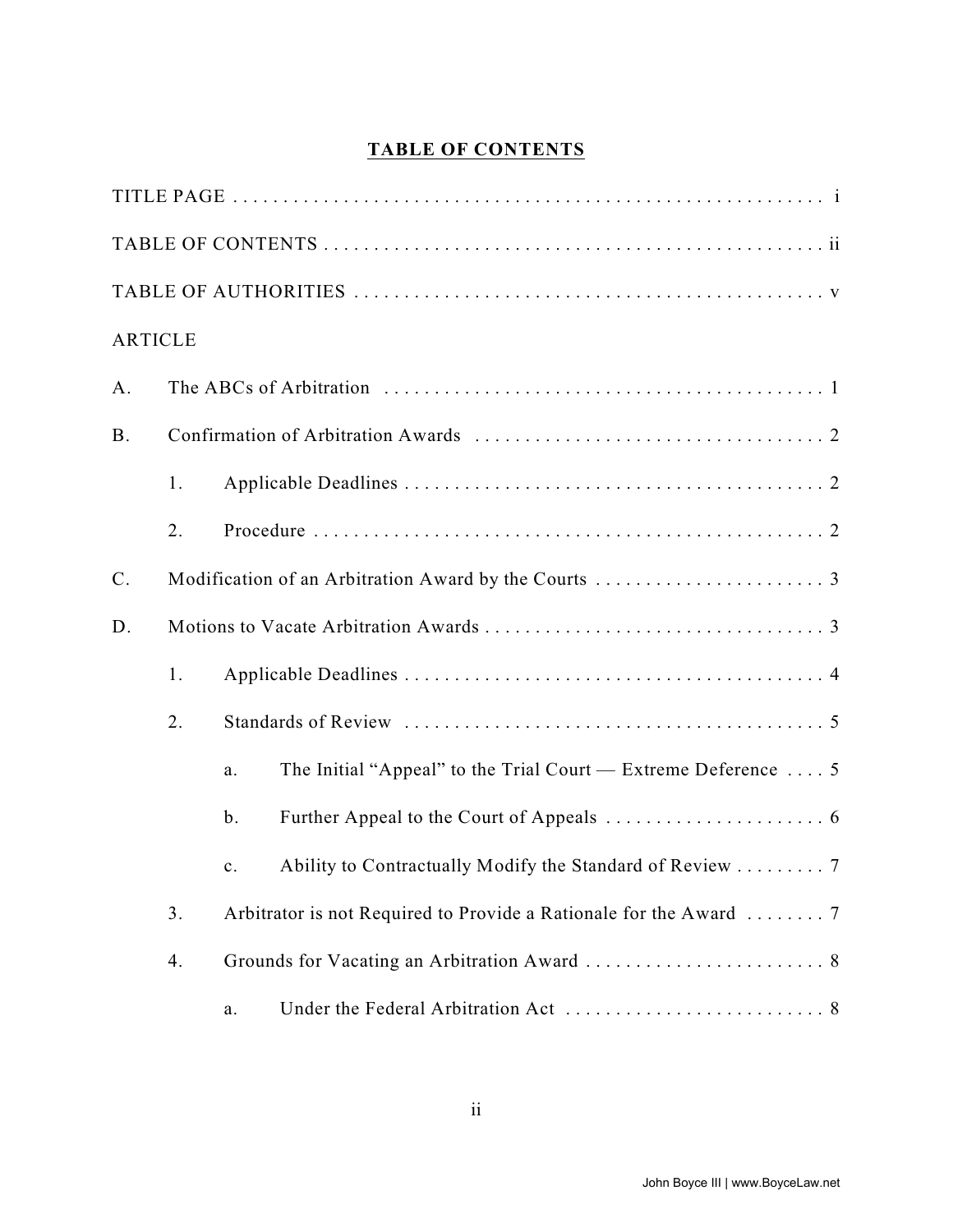# **TABLE OF CONTENTS**

| <b>ARTICLE</b> |    |    |                                                                       |  |  |  |  |
|----------------|----|----|-----------------------------------------------------------------------|--|--|--|--|
| A.             |    |    |                                                                       |  |  |  |  |
| <b>B.</b>      |    |    |                                                                       |  |  |  |  |
|                | 1. |    |                                                                       |  |  |  |  |
|                | 2. |    |                                                                       |  |  |  |  |
| $\mathbf{C}$ . |    |    |                                                                       |  |  |  |  |
| D.             |    |    |                                                                       |  |  |  |  |
|                | 1. |    |                                                                       |  |  |  |  |
|                | 2. |    |                                                                       |  |  |  |  |
|                |    | a. | The Initial "Appeal" to the Trial Court — Extreme Deference $\dots$ 5 |  |  |  |  |
|                |    | b. |                                                                       |  |  |  |  |
|                |    | c. | Ability to Contractually Modify the Standard of Review  7             |  |  |  |  |
|                | 3. |    |                                                                       |  |  |  |  |
|                | 4. |    |                                                                       |  |  |  |  |
|                |    | a. |                                                                       |  |  |  |  |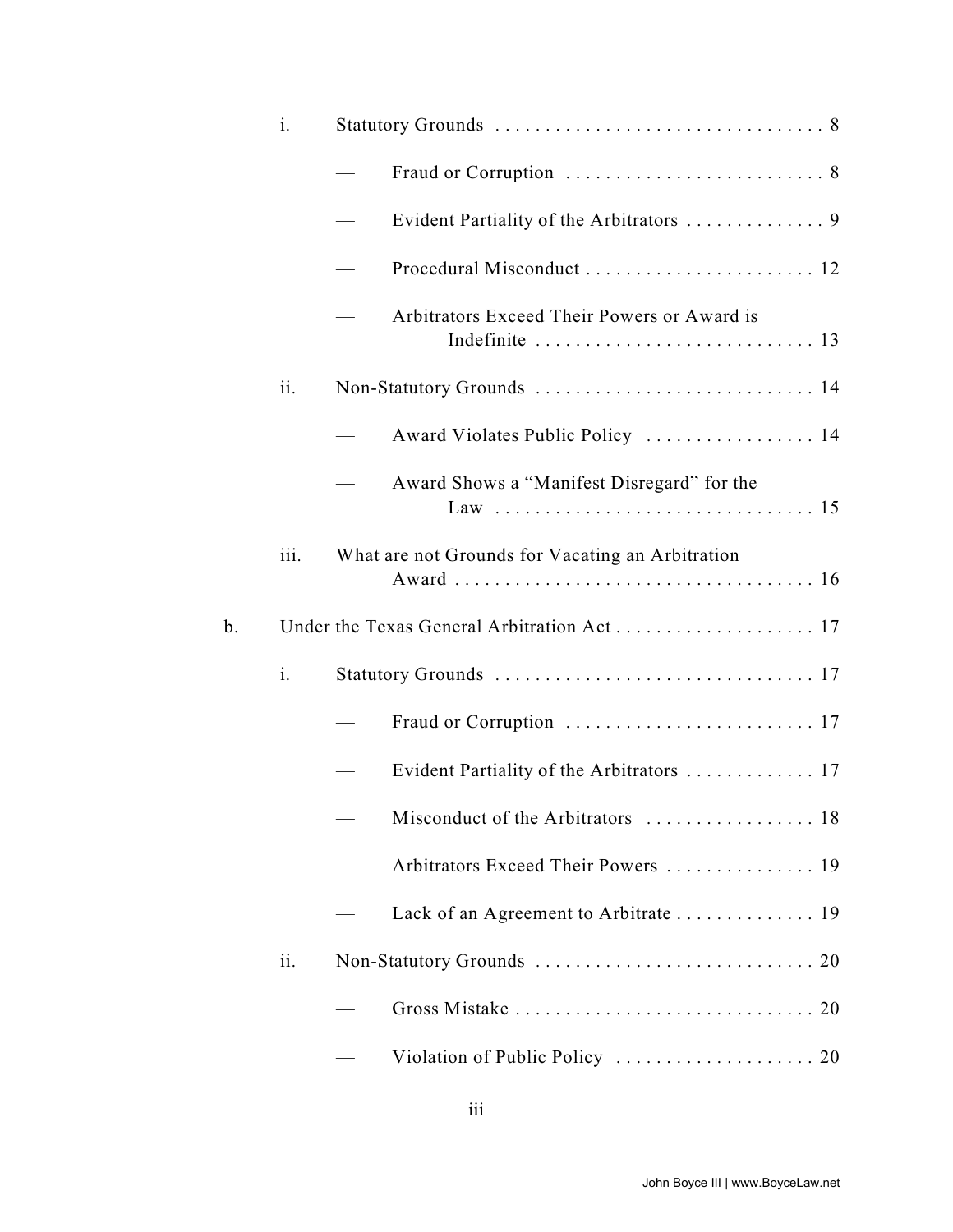|    | $\mathbf{i}$ . |                                                  |
|----|----------------|--------------------------------------------------|
|    |                |                                                  |
|    |                |                                                  |
|    |                | Procedural Misconduct  12                        |
|    |                | Arbitrators Exceed Their Powers or Award is      |
|    | ii.            | Non-Statutory Grounds  14                        |
|    |                | Award Violates Public Policy  14                 |
|    |                | Award Shows a "Manifest Disregard" for the       |
|    | iii.           | What are not Grounds for Vacating an Arbitration |
| b. |                |                                                  |
|    | i.             |                                                  |
|    |                |                                                  |
|    |                | Evident Partiality of the Arbitrators  17        |
|    |                |                                                  |
|    |                | Arbitrators Exceed Their Powers  19              |
|    |                | Lack of an Agreement to Arbitrate  19            |
|    | ii.            |                                                  |
|    |                |                                                  |
|    |                |                                                  |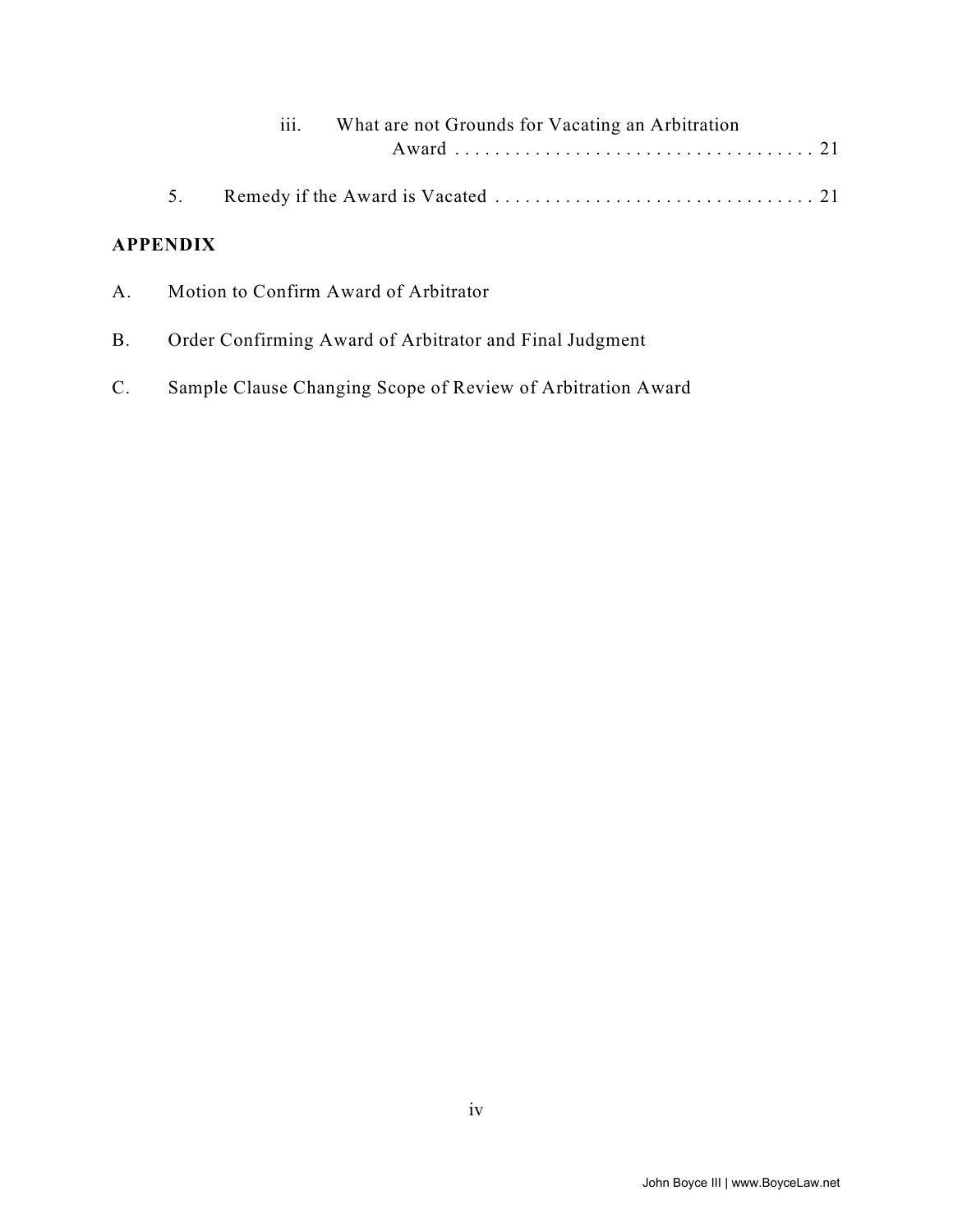|             |                 | $\cdots$<br>111. | What are not Grounds for Vacating an Arbitration        |  |  |  |  |
|-------------|-----------------|------------------|---------------------------------------------------------|--|--|--|--|
|             | 5.              |                  |                                                         |  |  |  |  |
|             | <b>APPENDIX</b> |                  |                                                         |  |  |  |  |
| $A_{\cdot}$ |                 |                  | Motion to Confirm Award of Arbitrator                   |  |  |  |  |
| <b>B.</b>   |                 |                  | Order Confirming Award of Arbitrator and Final Judgment |  |  |  |  |
|             |                 |                  |                                                         |  |  |  |  |

C. Sample Clause Changing Scope of Review of Arbitration Award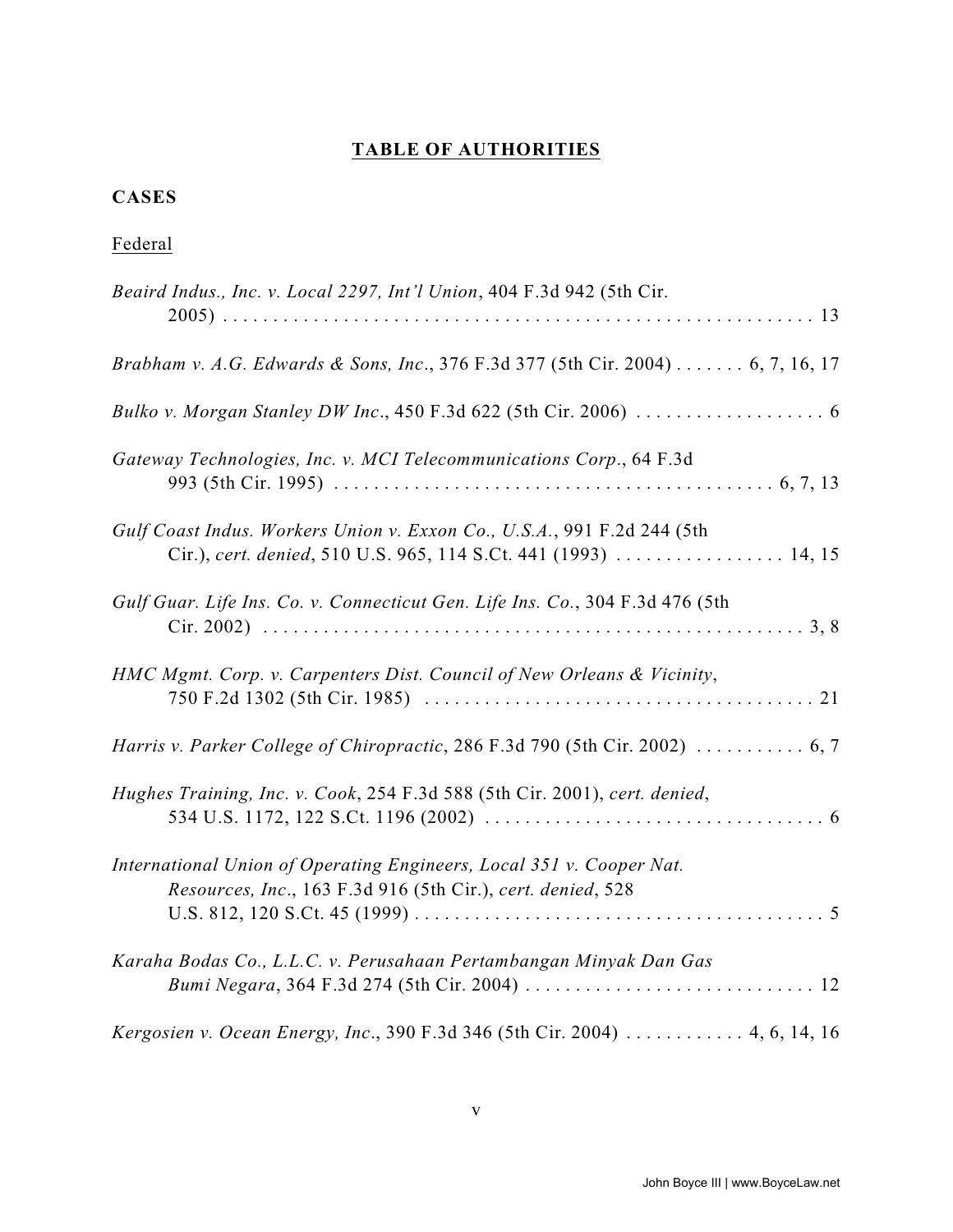# **TABLE OF AUTHORITIES**

## **CASES**

# Federal

| Beaird Indus., Inc. v. Local 2297, Int'l Union, 404 F.3d 942 (5th Cir.                                                                     |
|--------------------------------------------------------------------------------------------------------------------------------------------|
| Brabham v. A.G. Edwards & Sons, Inc., 376 F.3d 377 (5th Cir. 2004) 6, 7, 16, 17                                                            |
|                                                                                                                                            |
| Gateway Technologies, Inc. v. MCI Telecommunications Corp., 64 F.3d                                                                        |
| Gulf Coast Indus. Workers Union v. Exxon Co., U.S.A., 991 F.2d 244 (5th<br>Cir.), cert. denied, 510 U.S. 965, 114 S.Ct. 441 (1993)  14, 15 |
| Gulf Guar. Life Ins. Co. v. Connecticut Gen. Life Ins. Co., 304 F.3d 476 (5th                                                              |
| HMC Mgmt. Corp. v. Carpenters Dist. Council of New Orleans & Vicinity,                                                                     |
| Harris v. Parker College of Chiropractic, 286 F.3d 790 (5th Cir. 2002)  6, 7                                                               |
| Hughes Training, Inc. v. Cook, 254 F.3d 588 (5th Cir. 2001), cert. denied,                                                                 |
| International Union of Operating Engineers, Local 351 v. Cooper Nat.<br>Resources, Inc., 163 F.3d 916 (5th Cir.), cert. denied, 528        |
| Karaha Bodas Co., L.L.C. v. Perusahaan Pertambangan Minyak Dan Gas                                                                         |
| Kergosien v. Ocean Energy, Inc., 390 F.3d 346 (5th Cir. 2004) 4, 6, 14, 16                                                                 |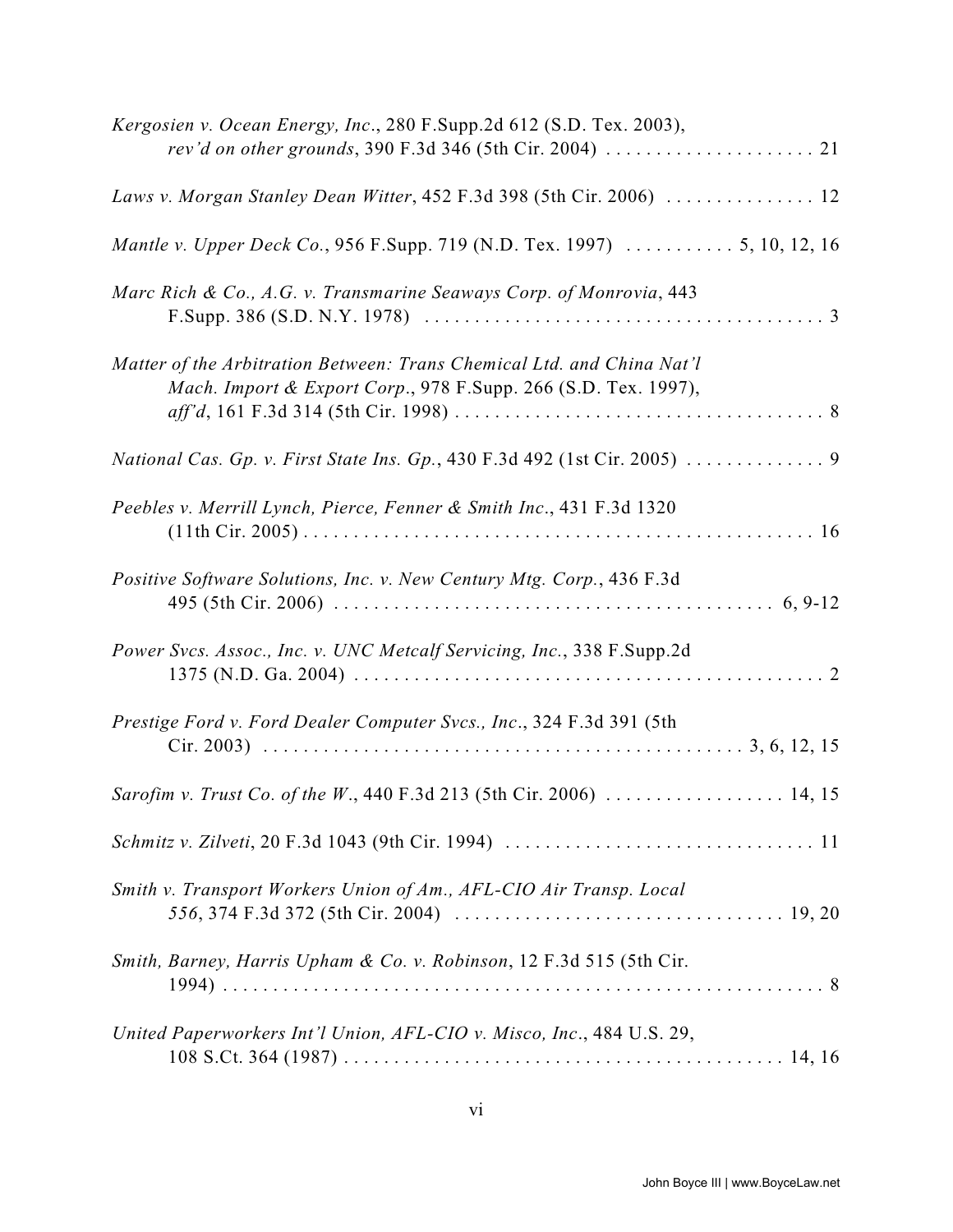| Kergosien v. Ocean Energy, Inc., 280 F.Supp.2d 612 (S.D. Tex. 2003),<br><i>rev'd on other grounds</i> , 390 F.3d 346 (5th Cir. 2004) $\ldots \ldots \ldots \ldots \ldots \ldots$ 21 |
|-------------------------------------------------------------------------------------------------------------------------------------------------------------------------------------|
| Laws v. Morgan Stanley Dean Witter, 452 F.3d 398 (5th Cir. 2006)  12                                                                                                                |
|                                                                                                                                                                                     |
| Marc Rich & Co., A.G. v. Transmarine Seaways Corp. of Monrovia, 443                                                                                                                 |
| Matter of the Arbitration Between: Trans Chemical Ltd. and China Nat'l<br>Mach. Import & Export Corp., 978 F.Supp. 266 (S.D. Tex. 1997),                                            |
| National Cas. Gp. v. First State Ins. Gp., 430 F.3d 492 (1st Cir. 2005)  9                                                                                                          |
| Peebles v. Merrill Lynch, Pierce, Fenner & Smith Inc., 431 F.3d 1320                                                                                                                |
| Positive Software Solutions, Inc. v. New Century Mtg. Corp., 436 F.3d                                                                                                               |
| Power Svcs. Assoc., Inc. v. UNC Metcalf Servicing, Inc., 338 F.Supp.2d                                                                                                              |
| Prestige Ford v. Ford Dealer Computer Svcs., Inc., 324 F.3d 391 (5th                                                                                                                |
| Sarofim v. Trust Co. of the W., 440 F.3d 213 (5th Cir. 2006)  14, 15                                                                                                                |
|                                                                                                                                                                                     |
| Smith v. Transport Workers Union of Am., AFL-CIO Air Transp. Local                                                                                                                  |
| Smith, Barney, Harris Upham & Co. v. Robinson, 12 F.3d 515 (5th Cir.                                                                                                                |
| United Paperworkers Int'l Union, AFL-CIO v. Misco, Inc., 484 U.S. 29,                                                                                                               |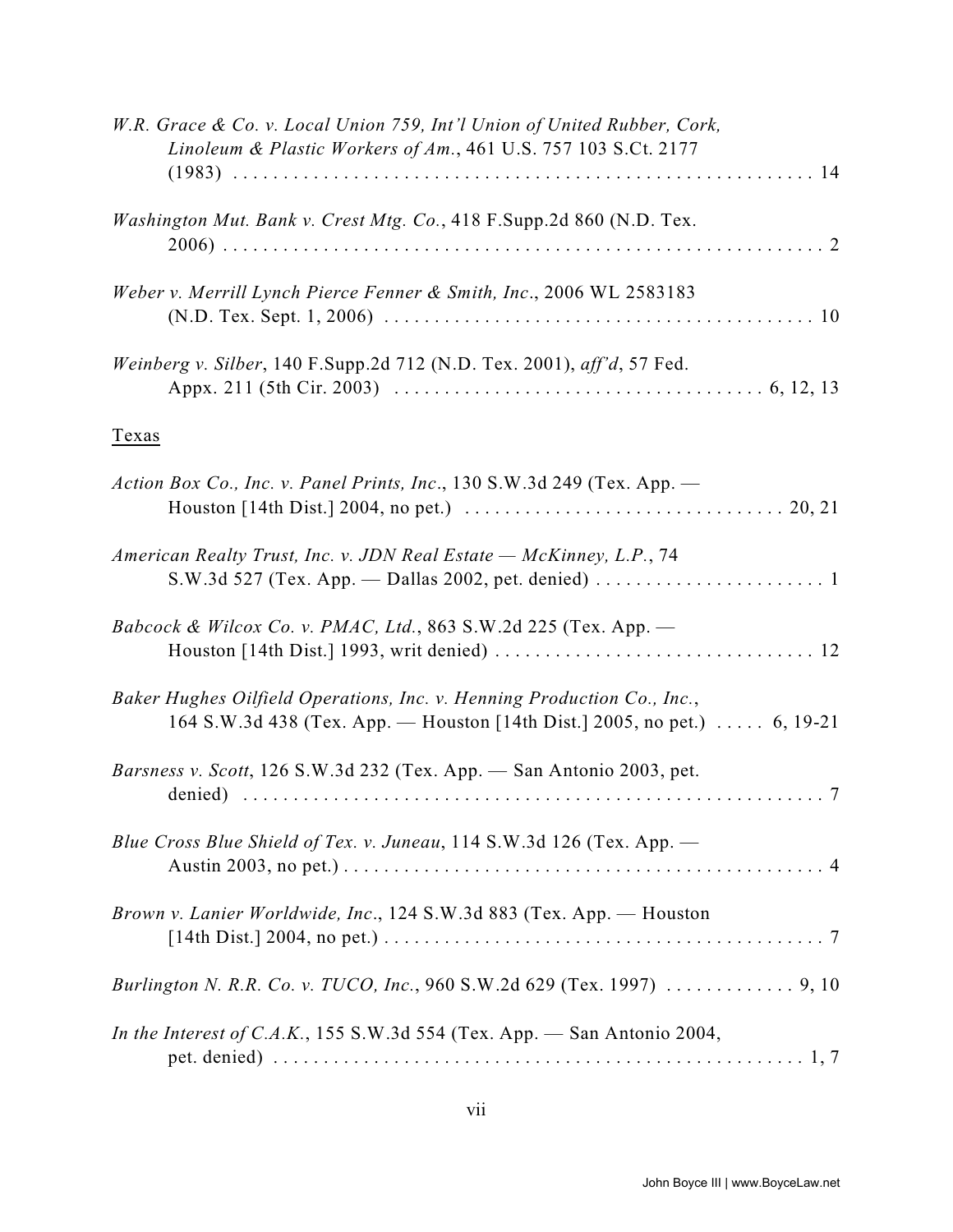| W.R. Grace & Co. v. Local Union 759, Int'l Union of United Rubber, Cork,<br>Linoleum & Plastic Workers of Am., 461 U.S. 757 103 S.Ct. 2177                                                                  |
|-------------------------------------------------------------------------------------------------------------------------------------------------------------------------------------------------------------|
| Washington Mut. Bank v. Crest Mtg. Co., 418 F.Supp.2d 860 (N.D. Tex.                                                                                                                                        |
| Weber v. Merrill Lynch Pierce Fenner & Smith, Inc., 2006 WL 2583183                                                                                                                                         |
| Weinberg v. Silber, 140 F.Supp.2d 712 (N.D. Tex. 2001), aff'd, 57 Fed.                                                                                                                                      |
| Texas                                                                                                                                                                                                       |
| Action Box Co., Inc. v. Panel Prints, Inc., 130 S.W.3d 249 (Tex. App. -<br>Houston [14th Dist.] 2004, no pet.) $\ldots \ldots \ldots \ldots \ldots \ldots \ldots \ldots \ldots \ldots \ldots \ldots 20, 21$ |
| American Realty Trust, Inc. v. JDN Real Estate - McKinney, L.P., 74                                                                                                                                         |
| Babcock & Wilcox Co. v. PMAC, Ltd., 863 S.W.2d 225 (Tex. App. $-$                                                                                                                                           |
| Baker Hughes Oilfield Operations, Inc. v. Henning Production Co., Inc.,<br>164 S.W.3d 438 (Tex. App. — Houston [14th Dist.] 2005, no pet.)  6, 19-21                                                        |
| Barsness v. Scott, 126 S.W.3d 232 (Tex. App. - San Antonio 2003, pet.                                                                                                                                       |
| Blue Cross Blue Shield of Tex. v. Juneau, 114 S.W.3d 126 (Tex. App. -                                                                                                                                       |
| Brown v. Lanier Worldwide, Inc., 124 S.W.3d 883 (Tex. App. - Houston                                                                                                                                        |
|                                                                                                                                                                                                             |
| In the Interest of C.A.K., 155 S.W.3d 554 (Tex. App. - San Antonio 2004,                                                                                                                                    |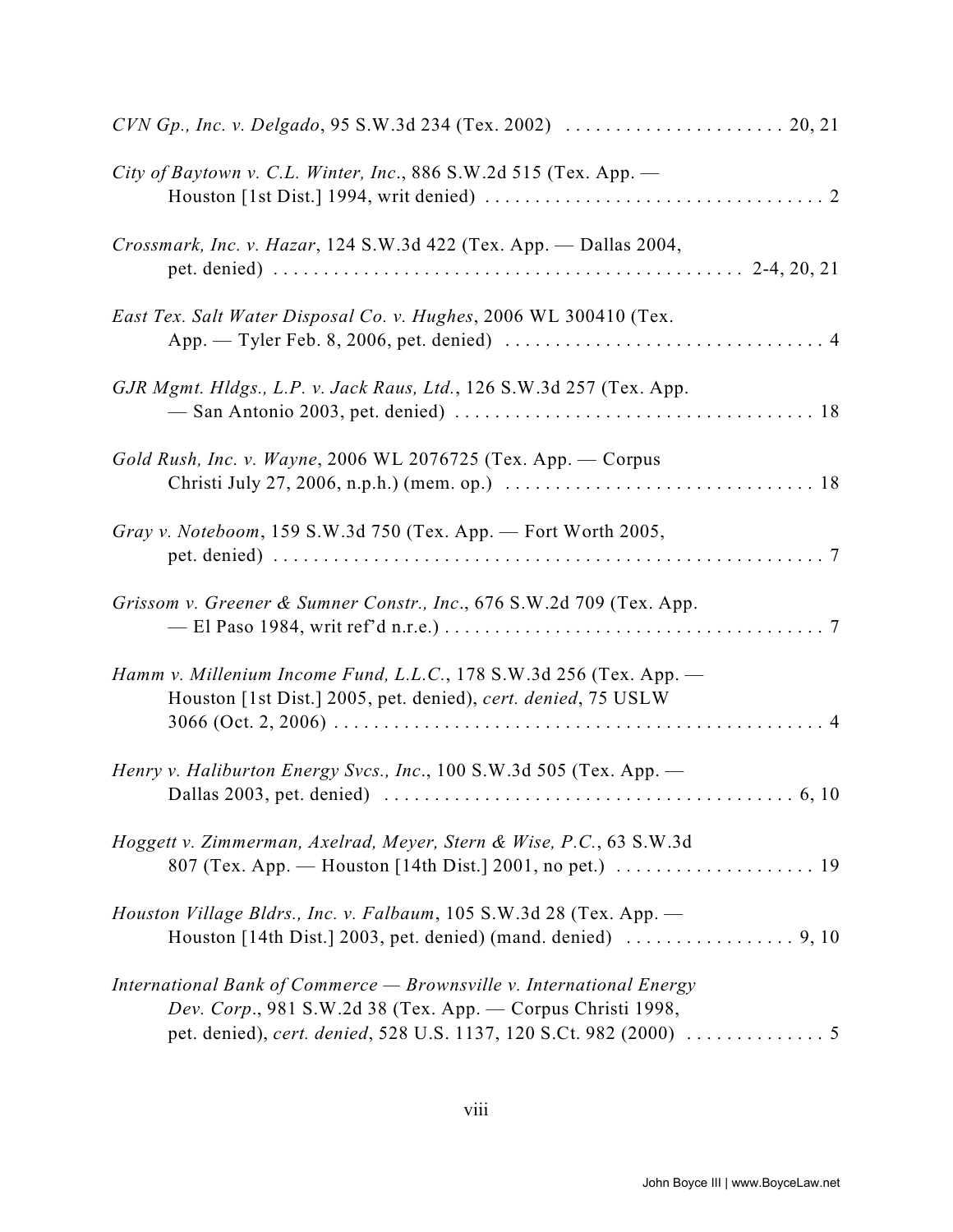| City of Baytown v. C.L. Winter, Inc., 886 S.W.2d 515 (Tex. App. -                                                                                                                                  |
|----------------------------------------------------------------------------------------------------------------------------------------------------------------------------------------------------|
| Crossmark, Inc. v. Hazar, 124 S.W.3d 422 (Tex. App. - Dallas 2004,                                                                                                                                 |
| East Tex. Salt Water Disposal Co. v. Hughes, 2006 WL 300410 (Tex.                                                                                                                                  |
| GJR Mgmt. Hldgs., L.P. v. Jack Raus, Ltd., 126 S.W.3d 257 (Tex. App.                                                                                                                               |
| Gold Rush, Inc. v. Wayne, 2006 WL 2076725 (Tex. App. $-$ Corpus<br>Christi July 27, 2006, n.p.h.) (mem. op.) $\ldots \ldots \ldots \ldots \ldots \ldots \ldots \ldots \ldots \ldots \ldots \ldots$ |
| Gray v. Noteboom, 159 S.W.3d 750 (Tex. App. — Fort Worth 2005,                                                                                                                                     |
| Grissom v. Greener & Sumner Constr., Inc., 676 S.W.2d 709 (Tex. App.                                                                                                                               |
| Hamm v. Millenium Income Fund, L.L.C., 178 S.W.3d 256 (Tex. App. -<br>Houston [1st Dist.] 2005, pet. denied), cert. denied, 75 USLW                                                                |
| Henry v. Haliburton Energy Svcs., Inc., 100 S.W.3d 505 (Tex. App. -                                                                                                                                |
| Hoggett v. Zimmerman, Axelrad, Meyer, Stern & Wise, P.C., 63 S.W.3d                                                                                                                                |
| Houston Village Bldrs., Inc. v. Falbaum, 105 S.W.3d 28 (Tex. App. -<br>Houston [14th Dist.] 2003, pet. denied) (mand. denied) $\ldots \ldots \ldots \ldots \ldots$ , 9, 10                         |
| International Bank of Commerce - Brownsville v. International Energy<br>Dev. Corp., 981 S.W.2d 38 (Tex. App. - Corpus Christi 1998,                                                                |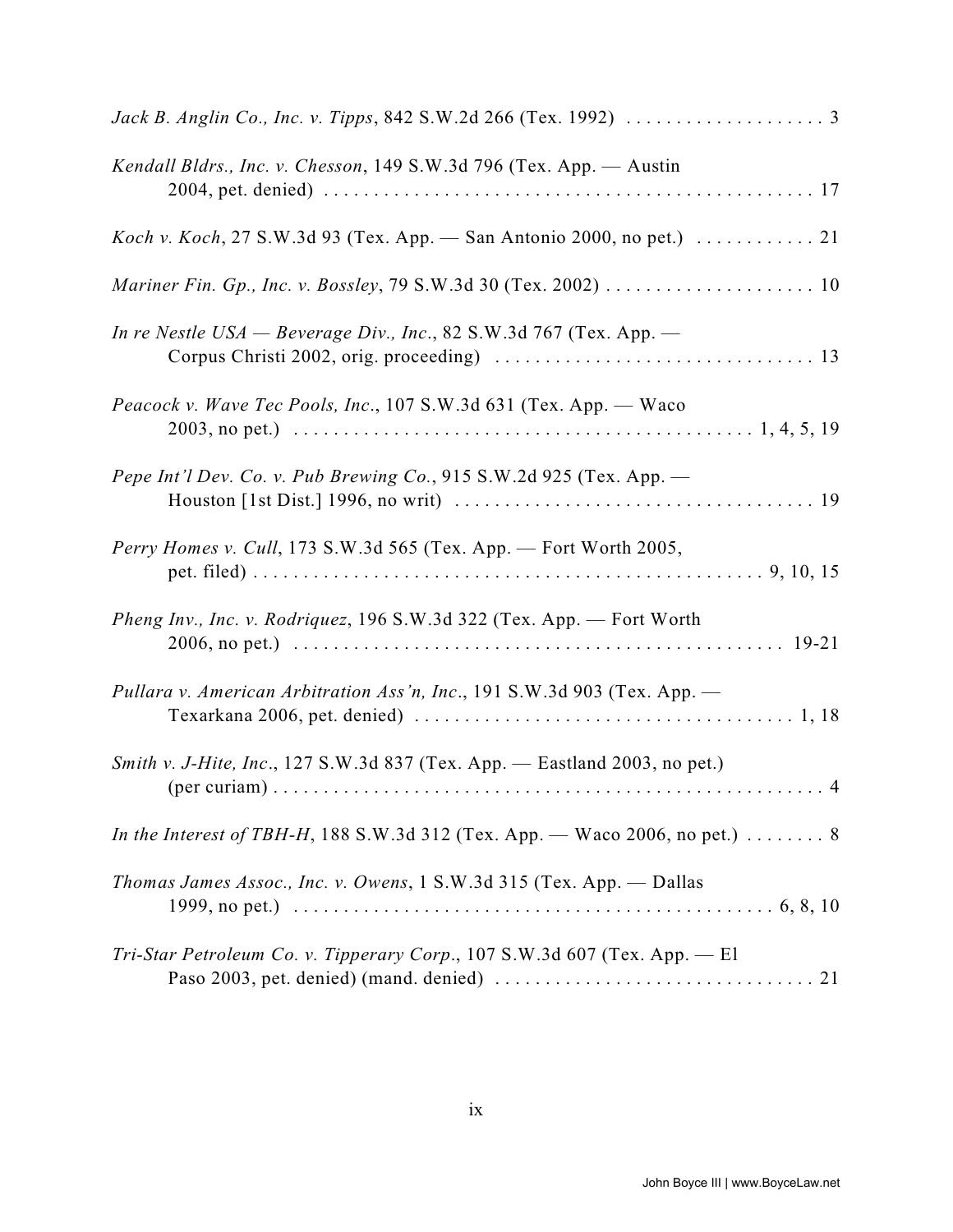| Kendall Bldrs., Inc. v. Chesson, 149 S.W.3d 796 (Tex. App. - Austin                               |
|---------------------------------------------------------------------------------------------------|
| <i>Koch v. Koch</i> , 27 S.W.3d 93 (Tex. App. — San Antonio 2000, no pet.) $\dots \dots \dots 21$ |
|                                                                                                   |
| In re Nestle USA — Beverage Div., Inc., 82 S.W.3d 767 (Tex. App. —                                |
| Peacock v. Wave Tec Pools, Inc., 107 S.W.3d 631 (Tex. App. - Waco                                 |
| Pepe Int'l Dev. Co. v. Pub Brewing Co., 915 S.W.2d 925 (Tex. App. $-$                             |
| Perry Homes v. Cull, 173 S.W.3d 565 (Tex. App. - Fort Worth 2005,                                 |
| Pheng Inv., Inc. v. Rodriquez, 196 S.W.3d 322 (Tex. App. - Fort Worth                             |
| Pullara v. American Arbitration Ass'n, Inc., 191 S.W.3d 903 (Tex. App. -                          |
| Smith v. J-Hite, Inc., 127 S.W.3d 837 (Tex. App. — Eastland 2003, no pet.)                        |
| In the Interest of TBH-H, 188 S.W.3d 312 (Tex. App. — Waco 2006, no pet.) $\dots \dots$ 8         |
| <i>Thomas James Assoc., Inc. v. Owens, 1 S.W.3d 315 (Tex. App. — Dallas</i>                       |
| Tri-Star Petroleum Co. v. Tipperary Corp., 107 S.W.3d 607 (Tex. App. - El                         |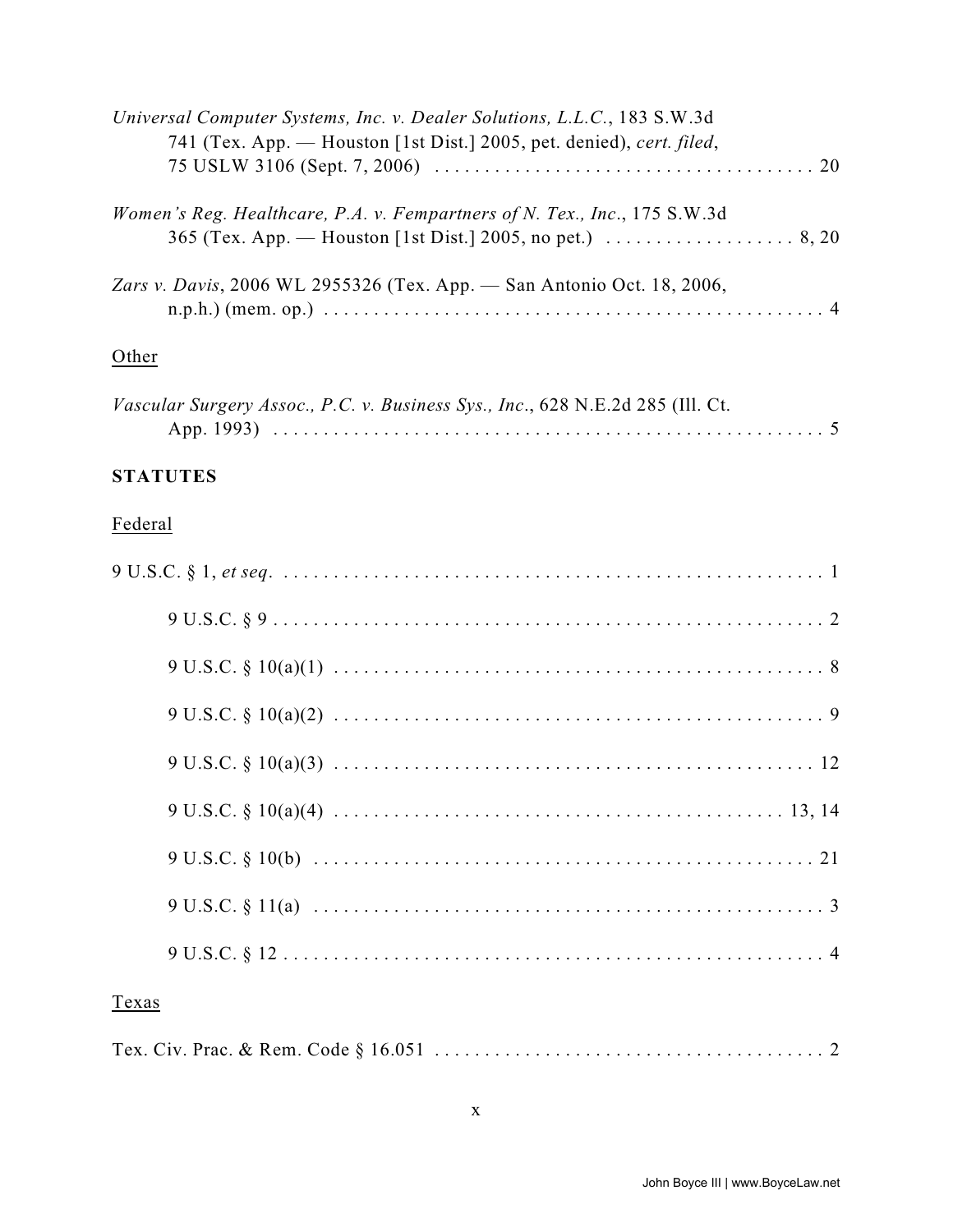| Universal Computer Systems, Inc. v. Dealer Solutions, L.L.C., 183 S.W.3d  |
|---------------------------------------------------------------------------|
| 741 (Tex. App. — Houston [1st Dist.] 2005, pet. denied), cert. filed,     |
|                                                                           |
| Women's Reg. Healthcare, P.A. v. Fempartners of N. Tex., Inc., 175 S.W.3d |
|                                                                           |
| Zars v. Davis, 2006 WL 2955326 (Tex. App. — San Antonio Oct. 18, 2006,    |
|                                                                           |
| Other                                                                     |

| Vascular Surgery Assoc., P.C. v. Business Sys., Inc., 628 N.E.2d 285 (Ill. Ct. |  |
|--------------------------------------------------------------------------------|--|
|                                                                                |  |

### **STATUTES**

### Federal

| Texas |
|-------|
|       |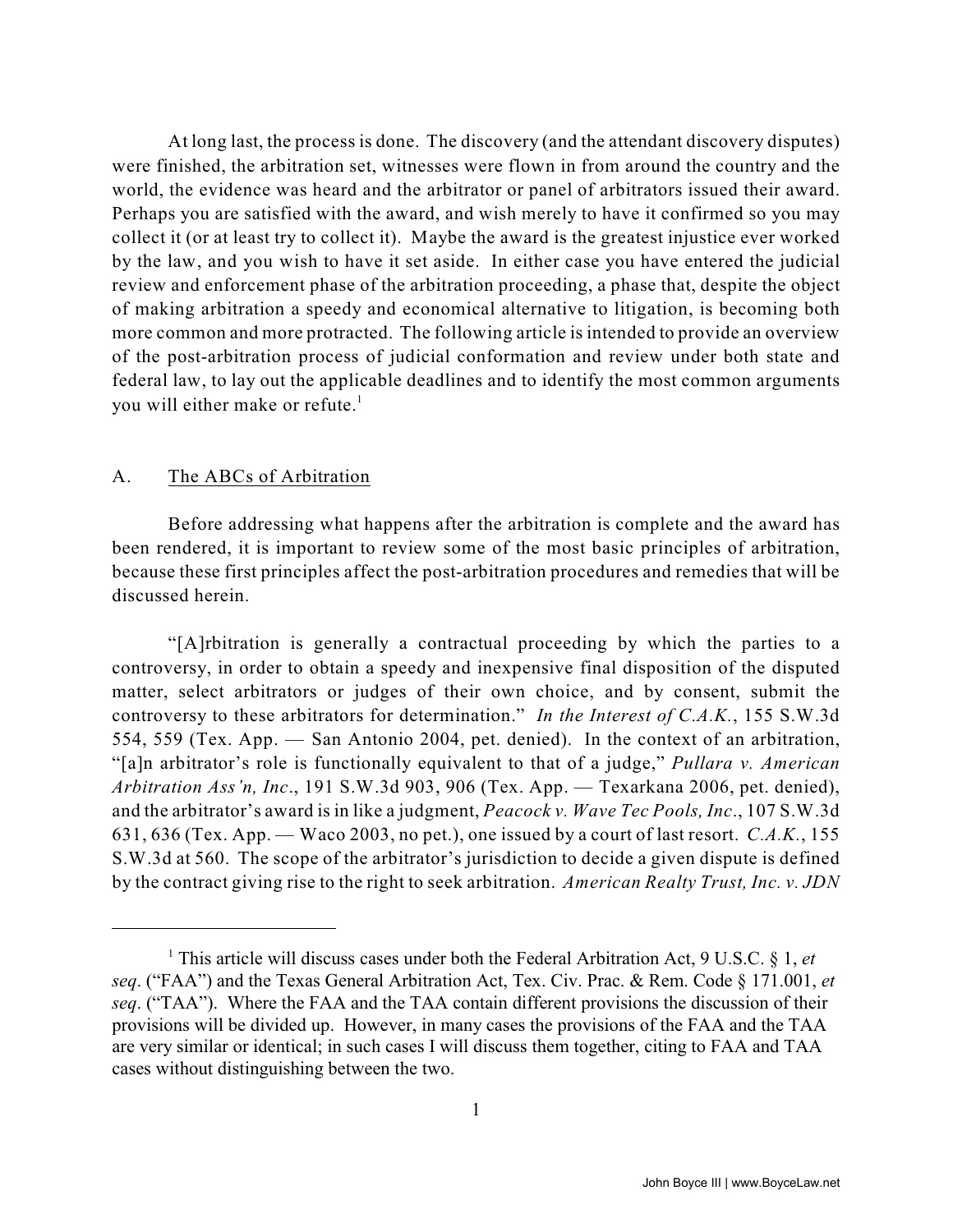At long last, the process is done. The discovery (and the attendant discovery disputes) were finished, the arbitration set, witnesses were flown in from around the country and the world, the evidence was heard and the arbitrator or panel of arbitrators issued their award. Perhaps you are satisfied with the award, and wish merely to have it confirmed so you may collect it (or at least try to collect it). Maybe the award is the greatest injustice ever worked by the law, and you wish to have it set aside. In either case you have entered the judicial review and enforcement phase of the arbitration proceeding, a phase that, despite the object of making arbitration a speedy and economical alternative to litigation, is becoming both more common and more protracted. The following article is intended to provide an overview of the post-arbitration process of judicial conformation and review under both state and federal law, to lay out the applicable deadlines and to identify the most common arguments you will either make or refute.<sup>1</sup>

#### A. The ABCs of Arbitration

Before addressing what happens after the arbitration is complete and the award has been rendered, it is important to review some of the most basic principles of arbitration, because these first principles affect the post-arbitration procedures and remedies that will be discussed herein.

"[A]rbitration is generally a contractual proceeding by which the parties to a controversy, in order to obtain a speedy and inexpensive final disposition of the disputed matter, select arbitrators or judges of their own choice, and by consent, submit the controversy to these arbitrators for determination." *In the Interest of C.A.K.*, 155 S.W.3d 554, 559 (Tex. App. — San Antonio 2004, pet. denied). In the context of an arbitration, "[a]n arbitrator's role is functionally equivalent to that of a judge," *Pullara v. American Arbitration Ass'n, Inc*., 191 S.W.3d 903, 906 (Tex. App. — Texarkana 2006, pet. denied), and the arbitrator's award is in like a judgment, *Peacock v. Wave Tec Pools, Inc*., 107 S.W.3d 631, 636 (Tex. App. — Waco 2003, no pet.), one issued by a court of last resort. *C.A.K.*, 155 S.W.3d at 560. The scope of the arbitrator's jurisdiction to decide a given dispute is defined by the contract giving rise to the right to seek arbitration. *American Realty Trust, Inc. v. JDN*

<sup>&</sup>lt;sup>1</sup> This article will discuss cases under both the Federal Arbitration Act, 9 U.S.C. § 1, *et seq*. ("FAA") and the Texas General Arbitration Act, Tex. Civ. Prac. & Rem. Code § 171.001, *et seq*. ("TAA"). Where the FAA and the TAA contain different provisions the discussion of their provisions will be divided up. However, in many cases the provisions of the FAA and the TAA are very similar or identical; in such cases I will discuss them together, citing to FAA and TAA cases without distinguishing between the two.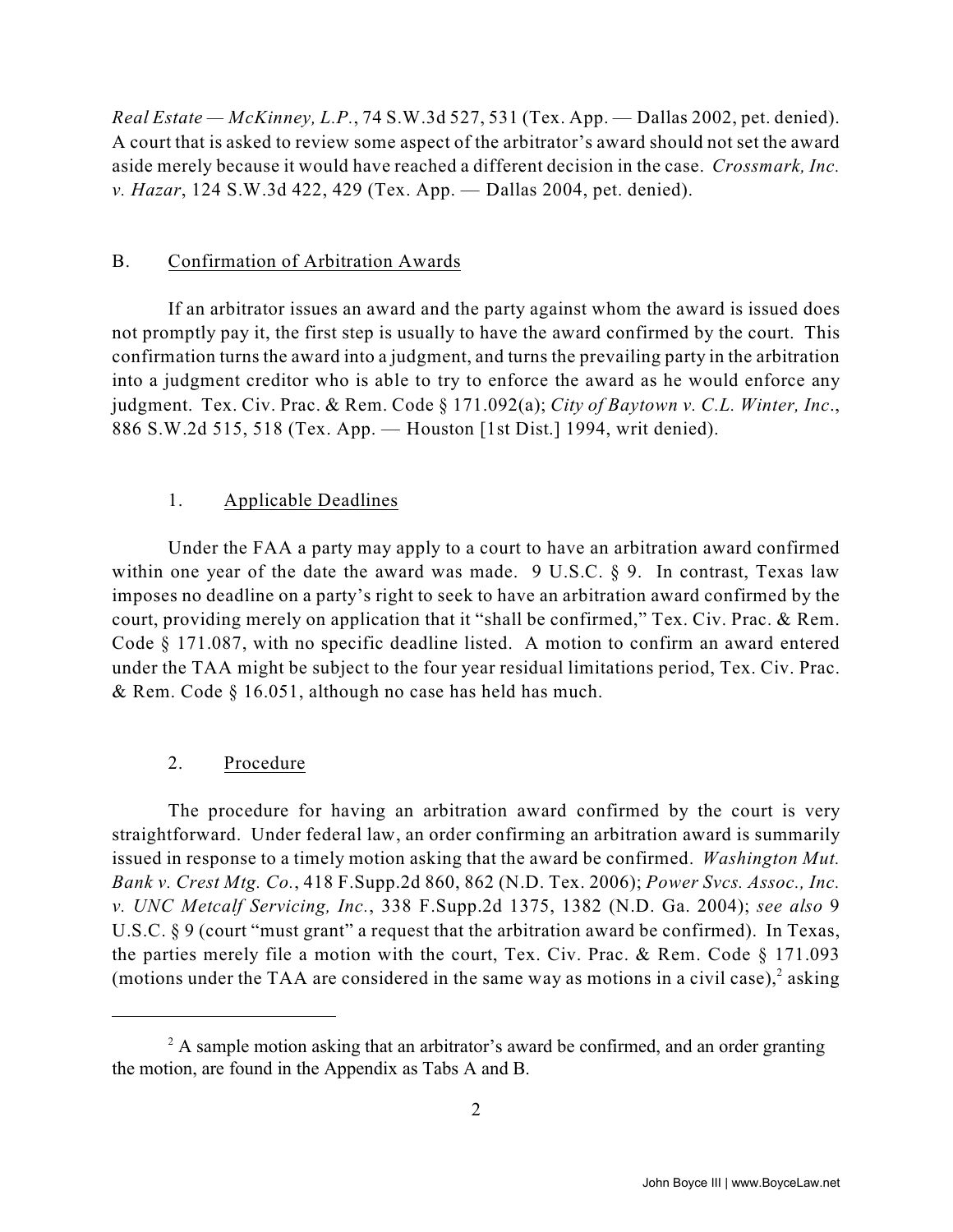*Real Estate — McKinney, L.P.*, 74 S.W.3d 527, 531 (Tex. App. — Dallas 2002, pet. denied). A court that is asked to review some aspect of the arbitrator's award should not set the award aside merely because it would have reached a different decision in the case. *Crossmark, Inc. v. Hazar*, 124 S.W.3d 422, 429 (Tex. App. — Dallas 2004, pet. denied).

#### B. Confirmation of Arbitration Awards

If an arbitrator issues an award and the party against whom the award is issued does not promptly pay it, the first step is usually to have the award confirmed by the court. This confirmation turns the award into a judgment, and turns the prevailing party in the arbitration into a judgment creditor who is able to try to enforce the award as he would enforce any judgment. Tex. Civ. Prac. & Rem. Code § 171.092(a); *City of Baytown v. C.L. Winter, Inc*., 886 S.W.2d 515, 518 (Tex. App. — Houston [1st Dist.] 1994, writ denied).

#### 1. Applicable Deadlines

Under the FAA a party may apply to a court to have an arbitration award confirmed within one year of the date the award was made. 9 U.S.C. § 9. In contrast, Texas law imposes no deadline on a party's right to seek to have an arbitration award confirmed by the court, providing merely on application that it "shall be confirmed," Tex. Civ. Prac. & Rem. Code § 171.087, with no specific deadline listed. A motion to confirm an award entered under the TAA might be subject to the four year residual limitations period, Tex. Civ. Prac. & Rem. Code § 16.051, although no case has held has much.

#### 2. Procedure

The procedure for having an arbitration award confirmed by the court is very straightforward. Under federal law, an order confirming an arbitration award is summarily issued in response to a timely motion asking that the award be confirmed. *Washington Mut. Bank v. Crest Mtg. Co.*, 418 F.Supp.2d 860, 862 (N.D. Tex. 2006); *Power Svcs. Assoc., Inc. v. UNC Metcalf Servicing, Inc.*, 338 F.Supp.2d 1375, 1382 (N.D. Ga. 2004); *see also* 9 U.S.C.  $\S 9$  (court "must grant" a request that the arbitration award be confirmed). In Texas, the parties merely file a motion with the court, Tex. Civ. Prac. & Rem. Code § 171.093 (motions under the TAA are considered in the same way as motions in a civil case), $2$  asking

 $^2$  A sample motion asking that an arbitrator's award be confirmed, and an order granting the motion, are found in the Appendix as Tabs A and B.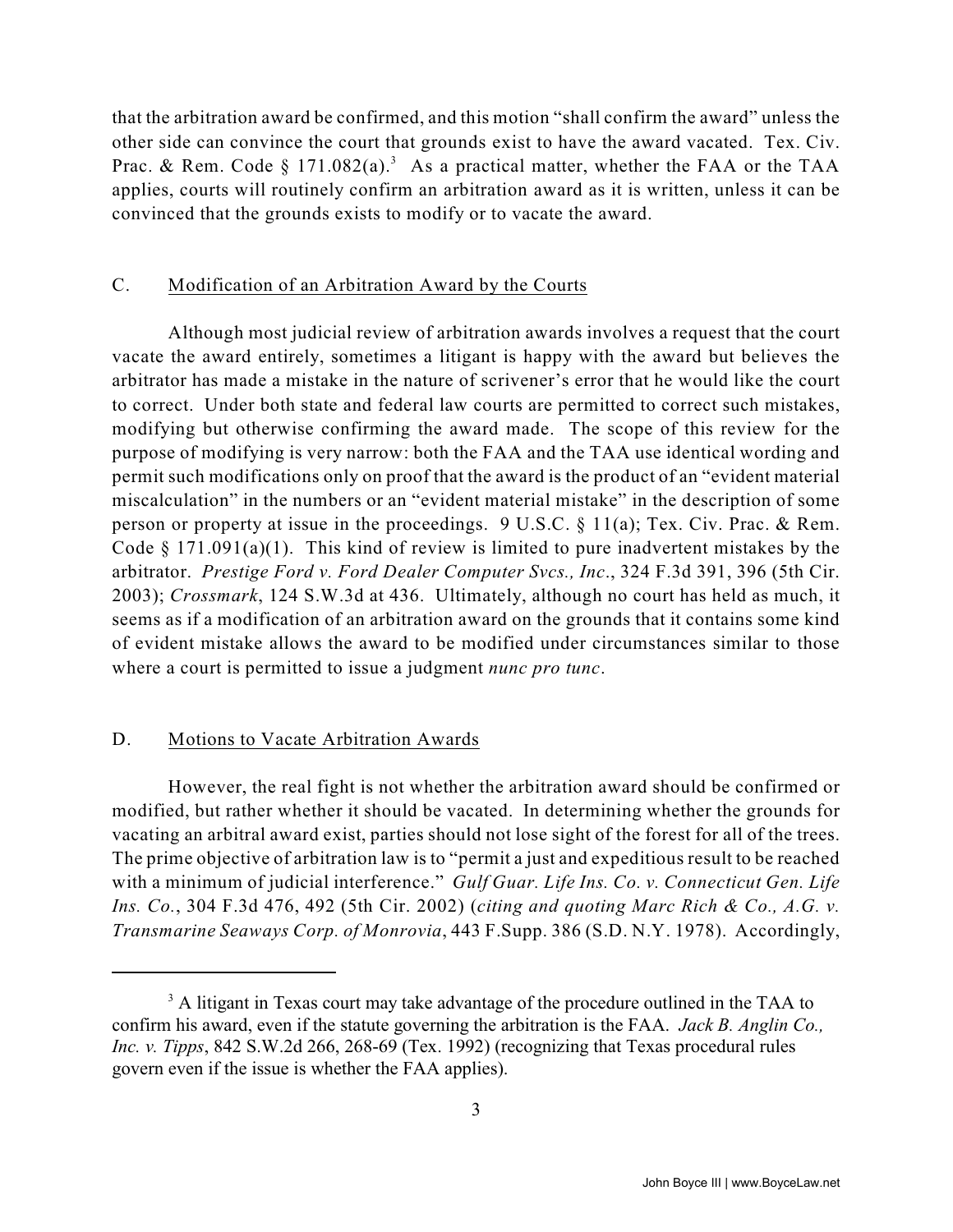that the arbitration award be confirmed, and this motion "shall confirm the award" unless the other side can convince the court that grounds exist to have the award vacated. Tex. Civ. Prac. & Rem. Code § 171.082(a).<sup>3</sup> As a practical matter, whether the FAA or the TAA applies, courts will routinely confirm an arbitration award as it is written, unless it can be convinced that the grounds exists to modify or to vacate the award.

#### C. Modification of an Arbitration Award by the Courts

Although most judicial review of arbitration awards involves a request that the court vacate the award entirely, sometimes a litigant is happy with the award but believes the arbitrator has made a mistake in the nature of scrivener's error that he would like the court to correct. Under both state and federal law courts are permitted to correct such mistakes, modifying but otherwise confirming the award made. The scope of this review for the purpose of modifying is very narrow: both the FAA and the TAA use identical wording and permit such modifications only on proof that the award is the product of an "evident material miscalculation" in the numbers or an "evident material mistake" in the description of some person or property at issue in the proceedings. 9 U.S.C. § 11(a); Tex. Civ. Prac. & Rem. Code  $\S$  171.091(a)(1). This kind of review is limited to pure inadvertent mistakes by the arbitrator. *Prestige Ford v. Ford Dealer Computer Svcs., Inc*., 324 F.3d 391, 396 (5th Cir. 2003); *Crossmark*, 124 S.W.3d at 436. Ultimately, although no court has held as much, it seems as if a modification of an arbitration award on the grounds that it contains some kind of evident mistake allows the award to be modified under circumstances similar to those where a court is permitted to issue a judgment *nunc pro tunc*.

#### D. Motions to Vacate Arbitration Awards

However, the real fight is not whether the arbitration award should be confirmed or modified, but rather whether it should be vacated. In determining whether the grounds for vacating an arbitral award exist, parties should not lose sight of the forest for all of the trees. The prime objective of arbitration law is to "permit a just and expeditious result to be reached with a minimum of judicial interference." *Gulf Guar. Life Ins. Co. v. Connecticut Gen. Life Ins. Co.*, 304 F.3d 476, 492 (5th Cir. 2002) (*citing and quoting Marc Rich & Co., A.G. v. Transmarine Seaways Corp. of Monrovia*, 443 F.Supp. 386 (S.D. N.Y. 1978). Accordingly,

<sup>&</sup>lt;sup>3</sup> A litigant in Texas court may take advantage of the procedure outlined in the TAA to confirm his award, even if the statute governing the arbitration is the FAA. *Jack B. Anglin Co., Inc. v. Tipps*, 842 S.W.2d 266, 268-69 (Tex. 1992) (recognizing that Texas procedural rules govern even if the issue is whether the FAA applies).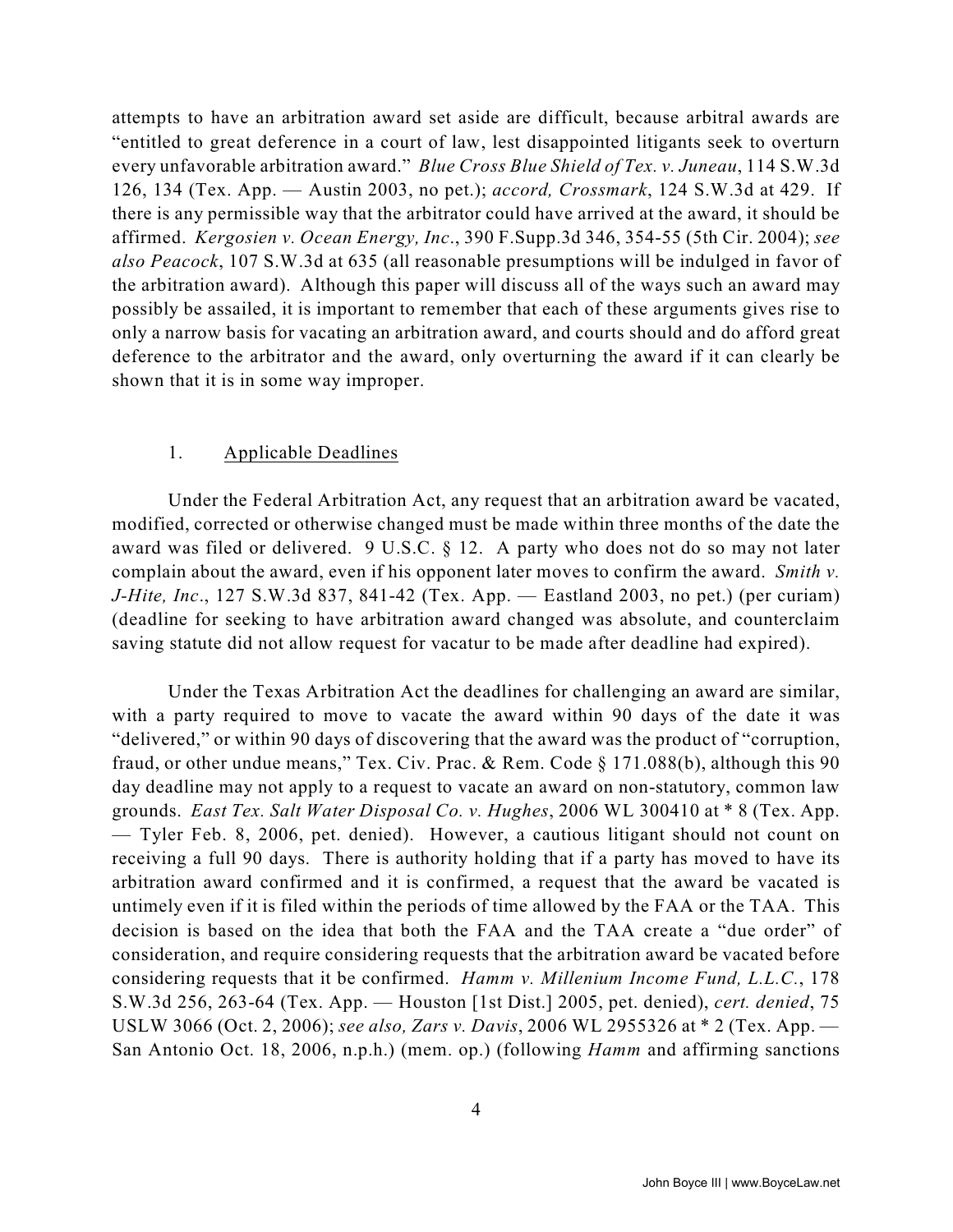attempts to have an arbitration award set aside are difficult, because arbitral awards are "entitled to great deference in a court of law, lest disappointed litigants seek to overturn every unfavorable arbitration award." *Blue Cross Blue Shield of Tex. v. Juneau*, 114 S.W.3d 126, 134 (Tex. App. — Austin 2003, no pet.); *accord, Crossmark*, 124 S.W.3d at 429. If there is any permissible way that the arbitrator could have arrived at the award, it should be affirmed. *Kergosien v. Ocean Energy, Inc*., 390 F.Supp.3d 346, 354-55 (5th Cir. 2004); *see also Peacock*, 107 S.W.3d at 635 (all reasonable presumptions will be indulged in favor of the arbitration award). Although this paper will discuss all of the ways such an award may possibly be assailed, it is important to remember that each of these arguments gives rise to only a narrow basis for vacating an arbitration award, and courts should and do afford great deference to the arbitrator and the award, only overturning the award if it can clearly be shown that it is in some way improper.

#### 1. Applicable Deadlines

Under the Federal Arbitration Act, any request that an arbitration award be vacated, modified, corrected or otherwise changed must be made within three months of the date the award was filed or delivered. 9 U.S.C. § 12. A party who does not do so may not later complain about the award, even if his opponent later moves to confirm the award. *Smith v. J-Hite, Inc*., 127 S.W.3d 837, 841-42 (Tex. App. — Eastland 2003, no pet.) (per curiam) (deadline for seeking to have arbitration award changed was absolute, and counterclaim saving statute did not allow request for vacatur to be made after deadline had expired).

Under the Texas Arbitration Act the deadlines for challenging an award are similar, with a party required to move to vacate the award within 90 days of the date it was "delivered," or within 90 days of discovering that the award was the product of "corruption, fraud, or other undue means," Tex. Civ. Prac. & Rem. Code § 171.088(b), although this 90 day deadline may not apply to a request to vacate an award on non-statutory, common law grounds. *East Tex. Salt Water Disposal Co. v. Hughes*, 2006 WL 300410 at \* 8 (Tex. App. — Tyler Feb. 8, 2006, pet. denied). However, a cautious litigant should not count on receiving a full 90 days. There is authority holding that if a party has moved to have its arbitration award confirmed and it is confirmed, a request that the award be vacated is untimely even if it is filed within the periods of time allowed by the FAA or the TAA. This decision is based on the idea that both the FAA and the TAA create a "due order" of consideration, and require considering requests that the arbitration award be vacated before considering requests that it be confirmed. *Hamm v. Millenium Income Fund, L.L.C.*, 178 S.W.3d 256, 263-64 (Tex. App. — Houston [1st Dist.] 2005, pet. denied), *cert. denied*, 75 USLW 3066 (Oct. 2, 2006); *see also, Zars v. Davis*, 2006 WL 2955326 at \* 2 (Tex. App. — San Antonio Oct. 18, 2006, n.p.h.) (mem. op.) (following *Hamm* and affirming sanctions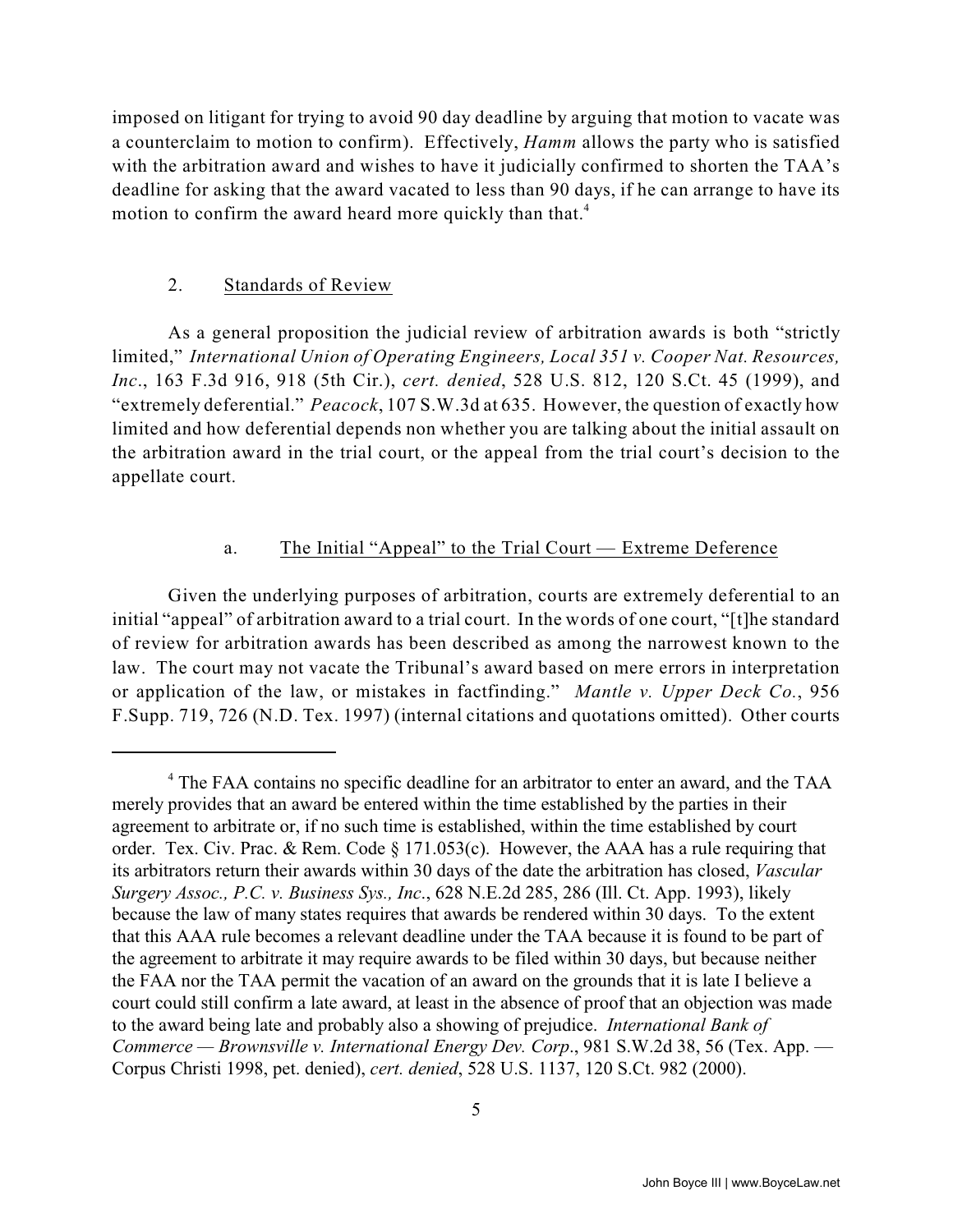imposed on litigant for trying to avoid 90 day deadline by arguing that motion to vacate was a counterclaim to motion to confirm). Effectively, *Hamm* allows the party who is satisfied with the arbitration award and wishes to have it judicially confirmed to shorten the TAA's deadline for asking that the award vacated to less than 90 days, if he can arrange to have its motion to confirm the award heard more quickly than that.<sup>4</sup>

#### 2. Standards of Review

As a general proposition the judicial review of arbitration awards is both "strictly limited," *International Union of Operating Engineers, Local 351 v. Cooper Nat. Resources, Inc*., 163 F.3d 916, 918 (5th Cir.), *cert. denied*, 528 U.S. 812, 120 S.Ct. 45 (1999), and "extremely deferential." *Peacock*, 107 S.W.3d at 635. However, the question of exactly how limited and how deferential depends non whether you are talking about the initial assault on the arbitration award in the trial court, or the appeal from the trial court's decision to the appellate court.

### a. The Initial "Appeal" to the Trial Court — Extreme Deference

Given the underlying purposes of arbitration, courts are extremely deferential to an initial "appeal" of arbitration award to a trial court. In the words of one court, "[t]he standard of review for arbitration awards has been described as among the narrowest known to the law. The court may not vacate the Tribunal's award based on mere errors in interpretation or application of the law, or mistakes in factfinding." *Mantle v. Upper Deck Co.*, 956 F.Supp. 719, 726 (N.D. Tex. 1997) (internal citations and quotations omitted). Other courts

<sup>&</sup>lt;sup>4</sup> The FAA contains no specific deadline for an arbitrator to enter an award, and the TAA merely provides that an award be entered within the time established by the parties in their agreement to arbitrate or, if no such time is established, within the time established by court order. Tex. Civ. Prac. & Rem. Code § 171.053(c). However, the AAA has a rule requiring that its arbitrators return their awards within 30 days of the date the arbitration has closed, *Vascular Surgery Assoc., P.C. v. Business Sys., Inc*., 628 N.E.2d 285, 286 (Ill. Ct. App. 1993), likely because the law of many states requires that awards be rendered within 30 days. To the extent that this AAA rule becomes a relevant deadline under the TAA because it is found to be part of the agreement to arbitrate it may require awards to be filed within 30 days, but because neither the FAA nor the TAA permit the vacation of an award on the grounds that it is late I believe a court could still confirm a late award, at least in the absence of proof that an objection was made to the award being late and probably also a showing of prejudice. *International Bank of Commerce — Brownsville v. International Energy Dev. Corp*., 981 S.W.2d 38, 56 (Tex. App. — Corpus Christi 1998, pet. denied), *cert. denied*, 528 U.S. 1137, 120 S.Ct. 982 (2000).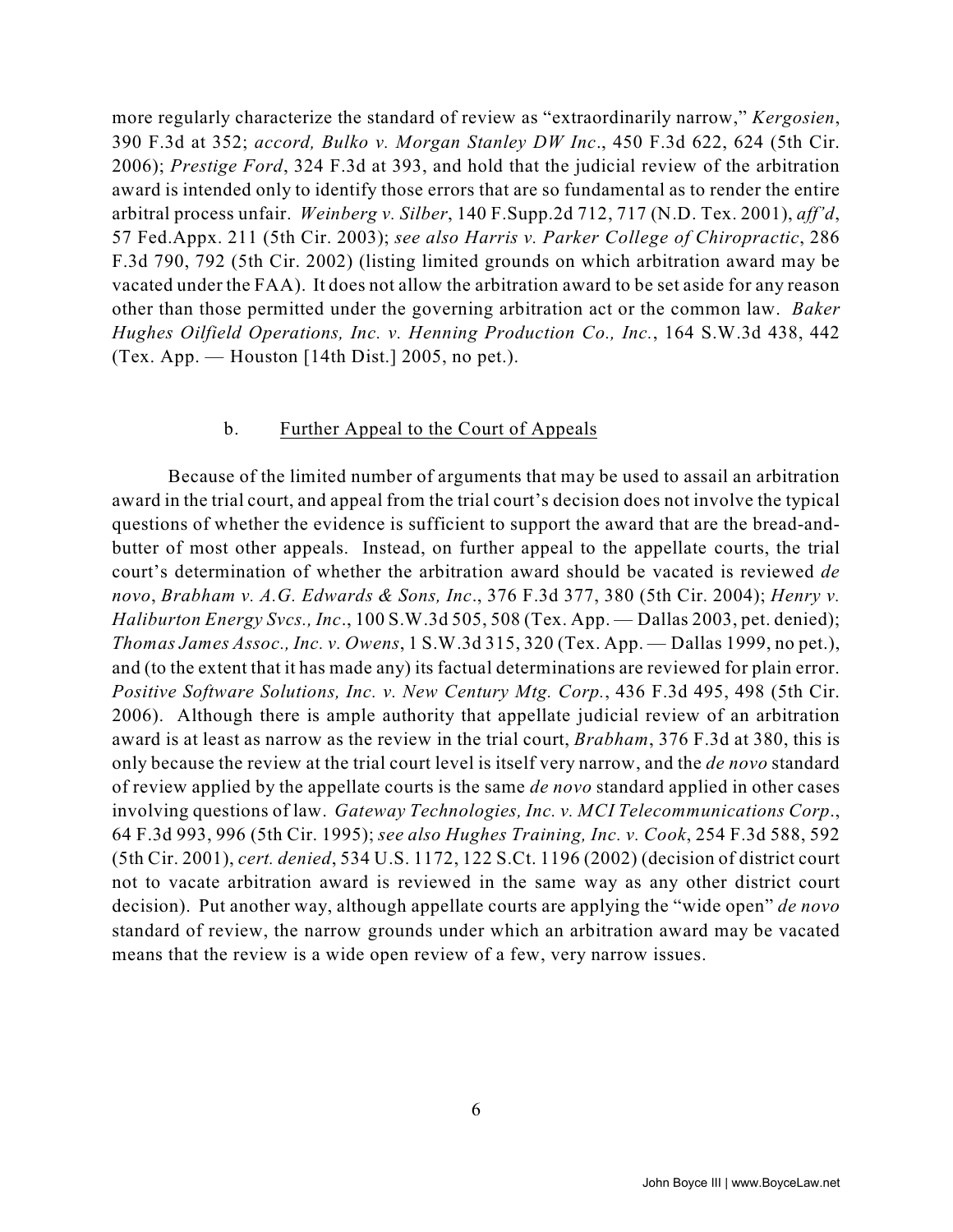more regularly characterize the standard of review as "extraordinarily narrow," *Kergosien*, 390 F.3d at 352; *accord, Bulko v. Morgan Stanley DW Inc*., 450 F.3d 622, 624 (5th Cir. 2006); *Prestige Ford*, 324 F.3d at 393, and hold that the judicial review of the arbitration award is intended only to identify those errors that are so fundamental as to render the entire arbitral process unfair. *Weinberg v. Silber*, 140 F.Supp.2d 712, 717 (N.D. Tex. 2001), *aff'd*, 57 Fed.Appx. 211 (5th Cir. 2003); *see also Harris v. Parker College of Chiropractic*, 286 F.3d 790, 792 (5th Cir. 2002) (listing limited grounds on which arbitration award may be vacated under the FAA). It does not allow the arbitration award to be set aside for any reason other than those permitted under the governing arbitration act or the common law. *Baker Hughes Oilfield Operations, Inc. v. Henning Production Co., Inc.*, 164 S.W.3d 438, 442 (Tex. App. — Houston [14th Dist.] 2005, no pet.).

#### b. Further Appeal to the Court of Appeals

Because of the limited number of arguments that may be used to assail an arbitration award in the trial court, and appeal from the trial court's decision does not involve the typical questions of whether the evidence is sufficient to support the award that are the bread-andbutter of most other appeals. Instead, on further appeal to the appellate courts, the trial court's determination of whether the arbitration award should be vacated is reviewed *de novo*, *Brabham v. A.G. Edwards & Sons, Inc*., 376 F.3d 377, 380 (5th Cir. 2004); *Henry v. Haliburton Energy Svcs., Inc*., 100 S.W.3d 505, 508 (Tex. App. — Dallas 2003, pet. denied); *Thomas James Assoc., Inc. v. Owens*, 1 S.W.3d 315, 320 (Tex. App. — Dallas 1999, no pet.), and (to the extent that it has made any) its factual determinations are reviewed for plain error. *Positive Software Solutions, Inc. v. New Century Mtg. Corp.*, 436 F.3d 495, 498 (5th Cir. 2006). Although there is ample authority that appellate judicial review of an arbitration award is at least as narrow as the review in the trial court, *Brabham*, 376 F.3d at 380, this is only because the review at the trial court level is itself very narrow, and the *de novo* standard of review applied by the appellate courts is the same *de novo* standard applied in other cases involving questions of law. *Gateway Technologies, Inc. v. MCI Telecommunications Corp*., 64 F.3d 993, 996 (5th Cir. 1995); *see also Hughes Training, Inc. v. Cook*, 254 F.3d 588, 592 (5th Cir. 2001), *cert. denied*, 534 U.S. 1172, 122 S.Ct. 1196 (2002) (decision of district court not to vacate arbitration award is reviewed in the same way as any other district court decision). Put another way, although appellate courts are applying the "wide open" *de novo* standard of review, the narrow grounds under which an arbitration award may be vacated means that the review is a wide open review of a few, very narrow issues.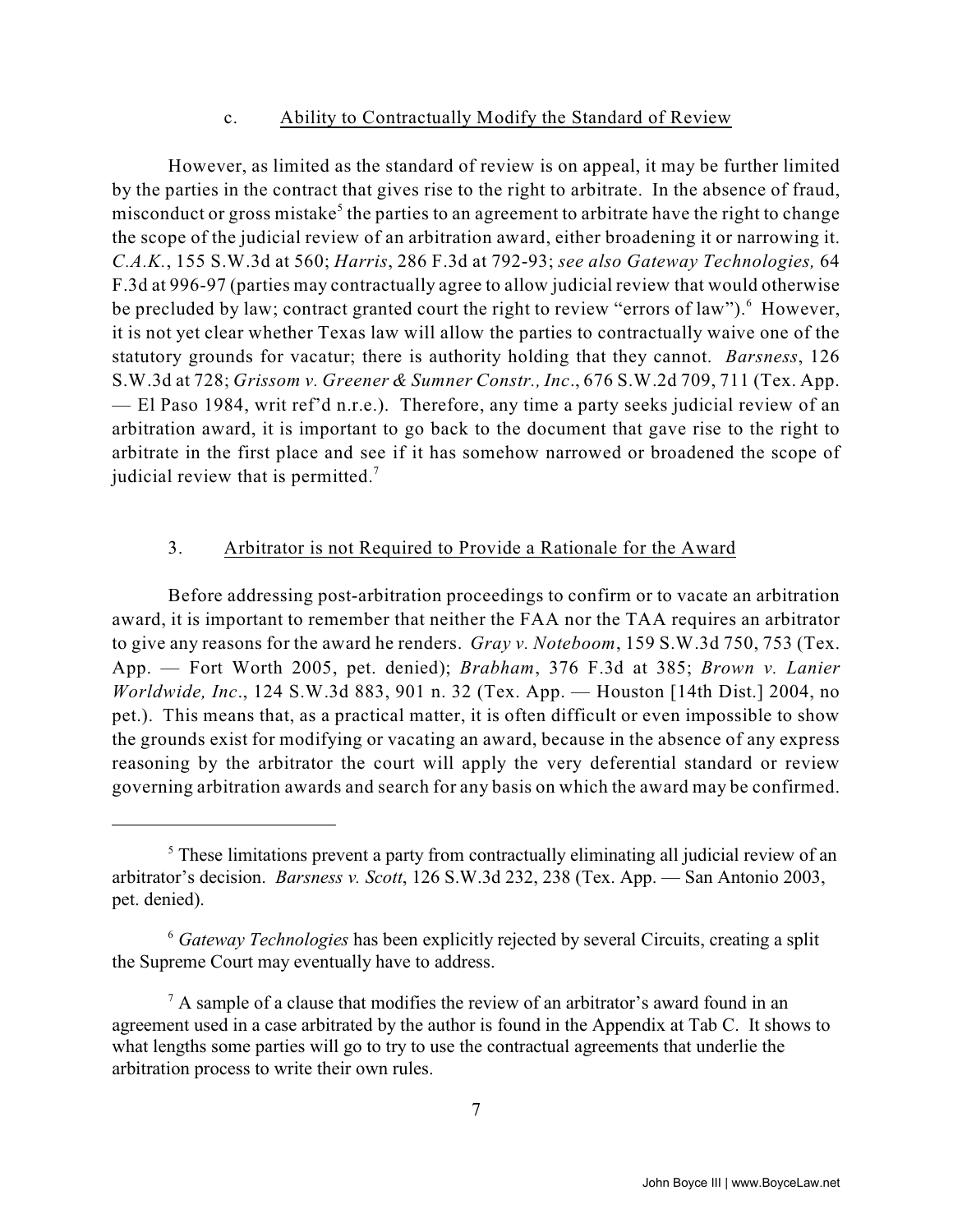#### c. Ability to Contractually Modify the Standard of Review

However, as limited as the standard of review is on appeal, it may be further limited by the parties in the contract that gives rise to the right to arbitrate. In the absence of fraud, misconduct or gross mistake<sup>5</sup> the parties to an agreement to arbitrate have the right to change the scope of the judicial review of an arbitration award, either broadening it or narrowing it. *C.A.K.*, 155 S.W.3d at 560; *Harris*, 286 F.3d at 792-93; *see also Gateway Technologies,* 64 F.3d at 996-97 (parties may contractually agree to allow judicial review that would otherwise be precluded by law; contract granted court the right to review "errors of law").  $6$  However, it is not yet clear whether Texas law will allow the parties to contractually waive one of the statutory grounds for vacatur; there is authority holding that they cannot. *Barsness*, 126 S.W.3d at 728; *Grissom v. Greener & Sumner Constr., Inc*., 676 S.W.2d 709, 711 (Tex. App. — El Paso 1984, writ ref'd n.r.e.). Therefore, any time a party seeks judicial review of an arbitration award, it is important to go back to the document that gave rise to the right to arbitrate in the first place and see if it has somehow narrowed or broadened the scope of judicial review that is permitted.<sup>7</sup>

#### 3. Arbitrator is not Required to Provide a Rationale for the Award

Before addressing post-arbitration proceedings to confirm or to vacate an arbitration award, it is important to remember that neither the FAA nor the TAA requires an arbitrator to give any reasons for the award he renders. *Gray v. Noteboom*, 159 S.W.3d 750, 753 (Tex. App. — Fort Worth 2005, pet. denied); *Brabham*, 376 F.3d at 385; *Brown v. Lanier Worldwide, Inc*., 124 S.W.3d 883, 901 n. 32 (Tex. App. — Houston [14th Dist.] 2004, no pet.). This means that, as a practical matter, it is often difficult or even impossible to show the grounds exist for modifying or vacating an award, because in the absence of any express reasoning by the arbitrator the court will apply the very deferential standard or review governing arbitration awards and search for any basis on which the award may be confirmed.

 $\frac{5}{5}$  These limitations prevent a party from contractually eliminating all judicial review of an arbitrator's decision. *Barsness v. Scott*, 126 S.W.3d 232, 238 (Tex. App. — San Antonio 2003, pet. denied).

*Gateway Technologies* has been explicitly rejected by several Circuits, creating a split <sup>6</sup> the Supreme Court may eventually have to address.

 $^7$  A sample of a clause that modifies the review of an arbitrator's award found in an agreement used in a case arbitrated by the author is found in the Appendix at Tab C. It shows to what lengths some parties will go to try to use the contractual agreements that underlie the arbitration process to write their own rules.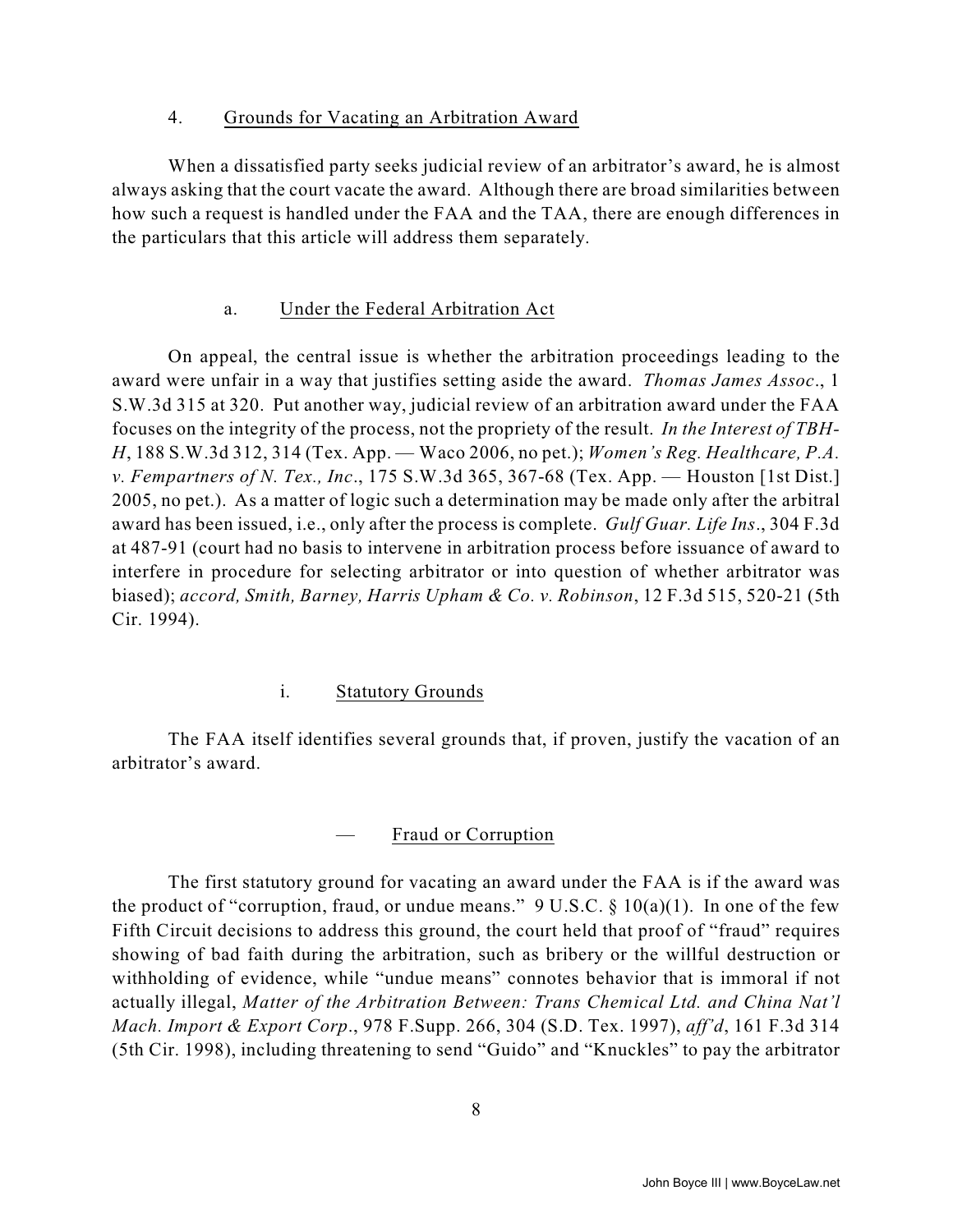#### 4. Grounds for Vacating an Arbitration Award

When a dissatisfied party seeks judicial review of an arbitrator's award, he is almost always asking that the court vacate the award. Although there are broad similarities between how such a request is handled under the FAA and the TAA, there are enough differences in the particulars that this article will address them separately.

#### a. Under the Federal Arbitration Act

On appeal, the central issue is whether the arbitration proceedings leading to the award were unfair in a way that justifies setting aside the award. *Thomas James Assoc*., 1 S.W.3d 315 at 320. Put another way, judicial review of an arbitration award under the FAA focuses on the integrity of the process, not the propriety of the result. *In the Interest of TBH-H*, 188 S.W.3d 312, 314 (Tex. App. — Waco 2006, no pet.); *Women's Reg. Healthcare, P.A. v. Fempartners of N. Tex., Inc*., 175 S.W.3d 365, 367-68 (Tex. App. — Houston [1st Dist.] 2005, no pet.). As a matter of logic such a determination may be made only after the arbitral award has been issued, i.e., only after the process is complete. *Gulf Guar. Life Ins*., 304 F.3d at 487-91 (court had no basis to intervene in arbitration process before issuance of award to interfere in procedure for selecting arbitrator or into question of whether arbitrator was biased); *accord, Smith, Barney, Harris Upham & Co. v. Robinson*, 12 F.3d 515, 520-21 (5th Cir. 1994).

#### i. Statutory Grounds

The FAA itself identifies several grounds that, if proven, justify the vacation of an arbitrator's award.

#### — Fraud or Corruption

The first statutory ground for vacating an award under the FAA is if the award was the product of "corruption, fraud, or undue means."  $9 \text{ U.S.C.} \$   $10(a)(1)$ . In one of the few Fifth Circuit decisions to address this ground, the court held that proof of "fraud" requires showing of bad faith during the arbitration, such as bribery or the willful destruction or withholding of evidence, while "undue means" connotes behavior that is immoral if not actually illegal, *Matter of the Arbitration Between: Trans Chemical Ltd. and China Nat'l Mach. Import & Export Corp*., 978 F.Supp. 266, 304 (S.D. Tex. 1997), *aff'd*, 161 F.3d 314 (5th Cir. 1998), including threatening to send "Guido" and "Knuckles" to pay the arbitrator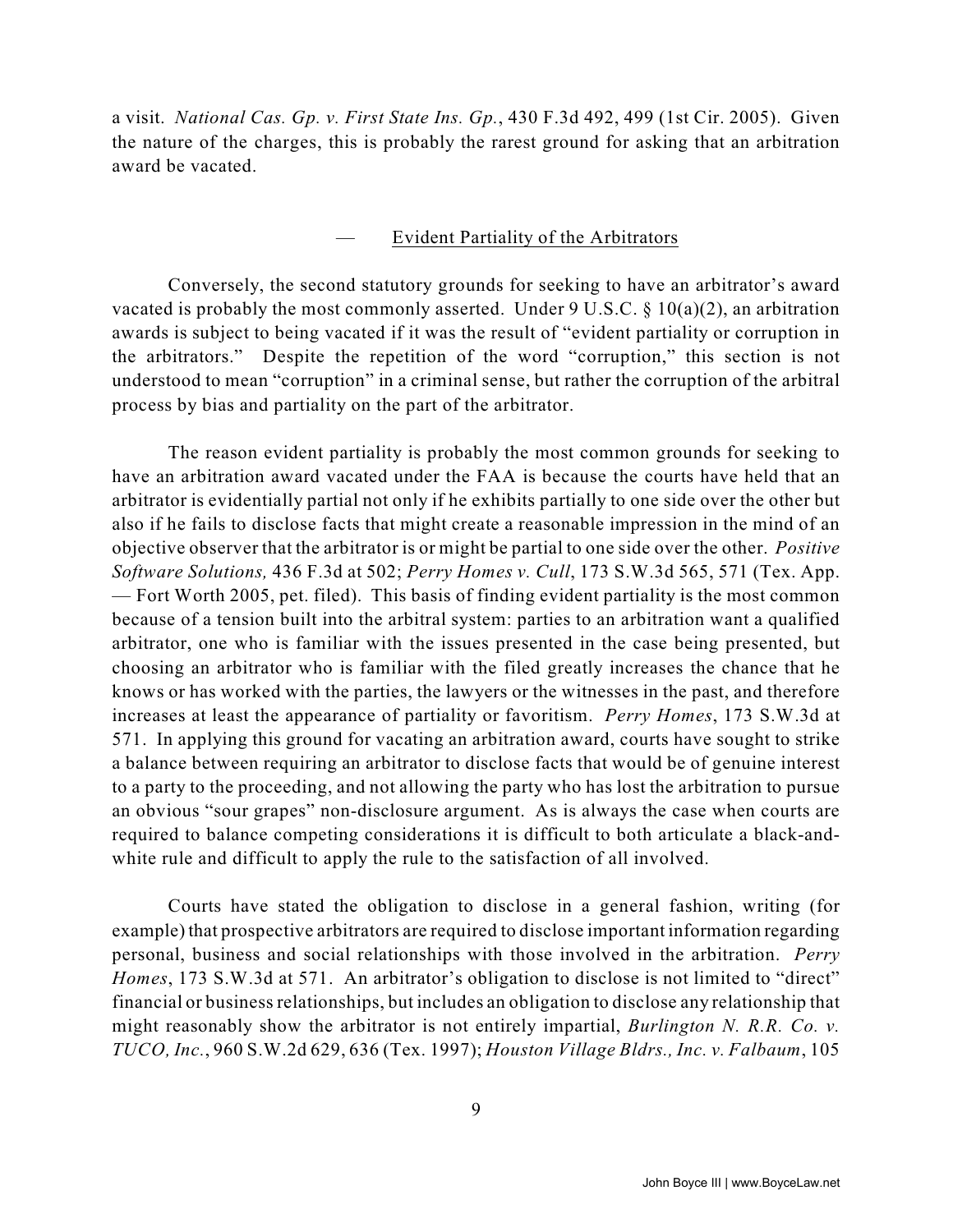a visit. *National Cas. Gp. v. First State Ins. Gp.*, 430 F.3d 492, 499 (1st Cir. 2005). Given the nature of the charges, this is probably the rarest ground for asking that an arbitration award be vacated.

#### — Evident Partiality of the Arbitrators

Conversely, the second statutory grounds for seeking to have an arbitrator's award vacated is probably the most commonly asserted. Under  $9 \text{ U.S.C.} \$ § 10(a)(2), an arbitration awards is subject to being vacated if it was the result of "evident partiality or corruption in the arbitrators." Despite the repetition of the word "corruption," this section is not understood to mean "corruption" in a criminal sense, but rather the corruption of the arbitral process by bias and partiality on the part of the arbitrator.

The reason evident partiality is probably the most common grounds for seeking to have an arbitration award vacated under the FAA is because the courts have held that an arbitrator is evidentially partial not only if he exhibits partially to one side over the other but also if he fails to disclose facts that might create a reasonable impression in the mind of an objective observer that the arbitrator is or might be partial to one side over the other. *Positive Software Solutions,* 436 F.3d at 502; *Perry Homes v. Cull*, 173 S.W.3d 565, 571 (Tex. App. — Fort Worth 2005, pet. filed). This basis of finding evident partiality is the most common because of a tension built into the arbitral system: parties to an arbitration want a qualified arbitrator, one who is familiar with the issues presented in the case being presented, but choosing an arbitrator who is familiar with the filed greatly increases the chance that he knows or has worked with the parties, the lawyers or the witnesses in the past, and therefore increases at least the appearance of partiality or favoritism. *Perry Homes*, 173 S.W.3d at 571. In applying this ground for vacating an arbitration award, courts have sought to strike a balance between requiring an arbitrator to disclose facts that would be of genuine interest to a party to the proceeding, and not allowing the party who has lost the arbitration to pursue an obvious "sour grapes" non-disclosure argument. As is always the case when courts are required to balance competing considerations it is difficult to both articulate a black-andwhite rule and difficult to apply the rule to the satisfaction of all involved.

Courts have stated the obligation to disclose in a general fashion, writing (for example) that prospective arbitrators are required to disclose important information regarding personal, business and social relationships with those involved in the arbitration. *Perry Homes*, 173 S.W.3d at 571. An arbitrator's obligation to disclose is not limited to "direct" financial or business relationships, but includes an obligation to disclose any relationship that might reasonably show the arbitrator is not entirely impartial, *Burlington N. R.R. Co. v. TUCO, Inc.*, 960 S.W.2d 629, 636 (Tex. 1997); *Houston Village Bldrs., Inc. v. Falbaum*, 105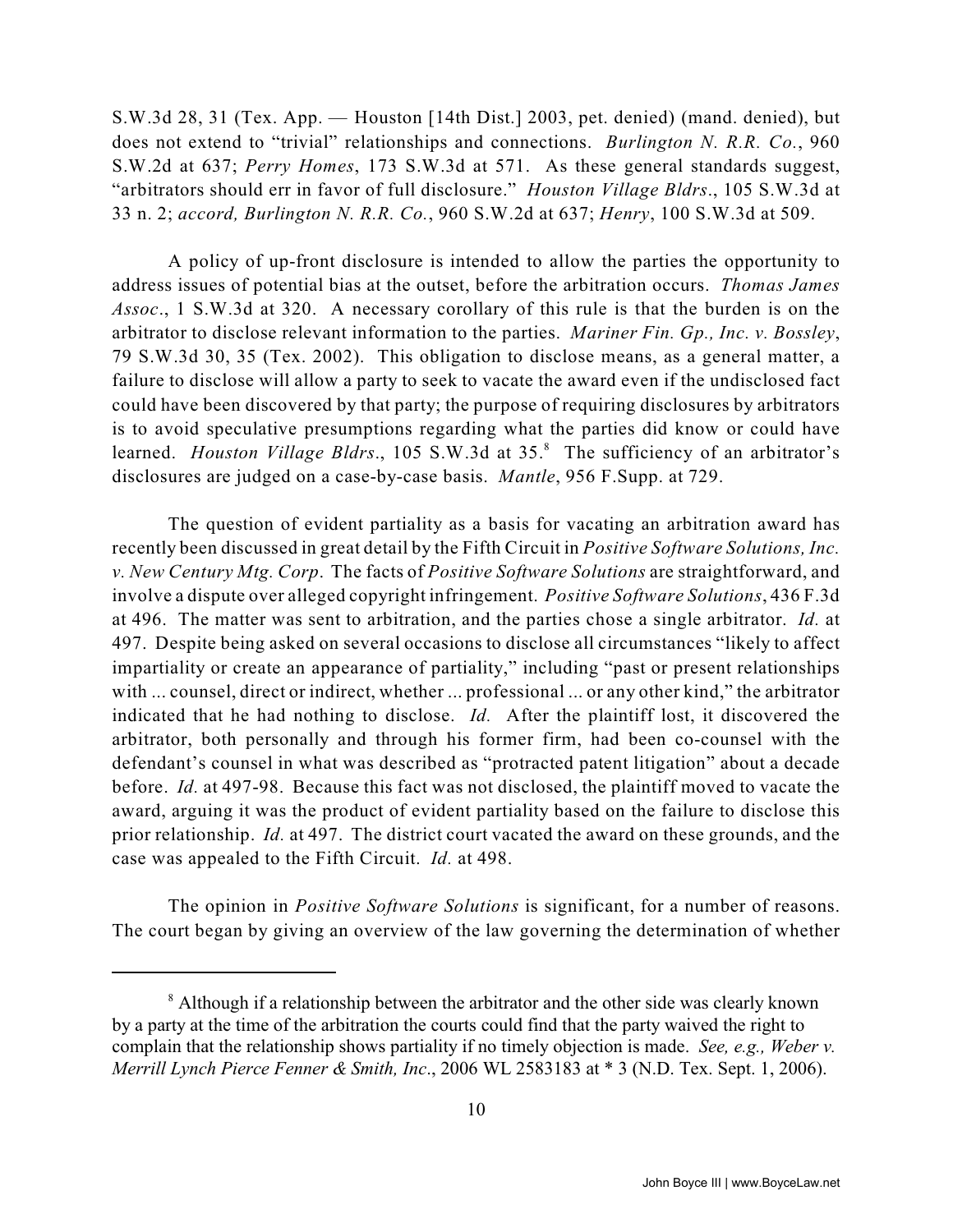S.W.3d 28, 31 (Tex. App. — Houston [14th Dist.] 2003, pet. denied) (mand. denied), but does not extend to "trivial" relationships and connections. *Burlington N. R.R. Co.*, 960 S.W.2d at 637; *Perry Homes*, 173 S.W.3d at 571. As these general standards suggest, "arbitrators should err in favor of full disclosure." *Houston Village Bldrs*., 105 S.W.3d at 33 n. 2; *accord, Burlington N. R.R. Co.*, 960 S.W.2d at 637; *Henry*, 100 S.W.3d at 509.

A policy of up-front disclosure is intended to allow the parties the opportunity to address issues of potential bias at the outset, before the arbitration occurs. *Thomas James Assoc*., 1 S.W.3d at 320. A necessary corollary of this rule is that the burden is on the arbitrator to disclose relevant information to the parties. *Mariner Fin. Gp., Inc. v. Bossley*, 79 S.W.3d 30, 35 (Tex. 2002). This obligation to disclose means, as a general matter, a failure to disclose will allow a party to seek to vacate the award even if the undisclosed fact could have been discovered by that party; the purpose of requiring disclosures by arbitrators is to avoid speculative presumptions regarding what the parties did know or could have learned. *Houston Village Bldrs.*, 105 S.W.3d at 35.<sup>8</sup> The sufficiency of an arbitrator's disclosures are judged on a case-by-case basis. *Mantle*, 956 F.Supp. at 729.

The question of evident partiality as a basis for vacating an arbitration award has recently been discussed in great detail by the Fifth Circuit in *Positive Software Solutions, Inc. v. New Century Mtg. Corp*. The facts of *Positive Software Solutions* are straightforward, and involve a dispute over alleged copyright infringement. *Positive Software Solutions*, 436 F.3d at 496. The matter was sent to arbitration, and the parties chose a single arbitrator. *Id.* at 497. Despite being asked on several occasions to disclose all circumstances "likely to affect impartiality or create an appearance of partiality," including "past or present relationships with ... counsel, direct or indirect, whether ... professional ... or any other kind," the arbitrator indicated that he had nothing to disclose. *Id.* After the plaintiff lost, it discovered the arbitrator, both personally and through his former firm, had been co-counsel with the defendant's counsel in what was described as "protracted patent litigation" about a decade before. *Id.* at 497-98. Because this fact was not disclosed, the plaintiff moved to vacate the award, arguing it was the product of evident partiality based on the failure to disclose this prior relationship. *Id.* at 497. The district court vacated the award on these grounds, and the case was appealed to the Fifth Circuit. *Id.* at 498.

The opinion in *Positive Software Solutions* is significant, for a number of reasons. The court began by giving an overview of the law governing the determination of whether

<sup>&</sup>lt;sup>8</sup> Although if a relationship between the arbitrator and the other side was clearly known by a party at the time of the arbitration the courts could find that the party waived the right to complain that the relationship shows partiality if no timely objection is made. *See, e.g., Weber v. Merrill Lynch Pierce Fenner & Smith, Inc*., 2006 WL 2583183 at \* 3 (N.D. Tex. Sept. 1, 2006).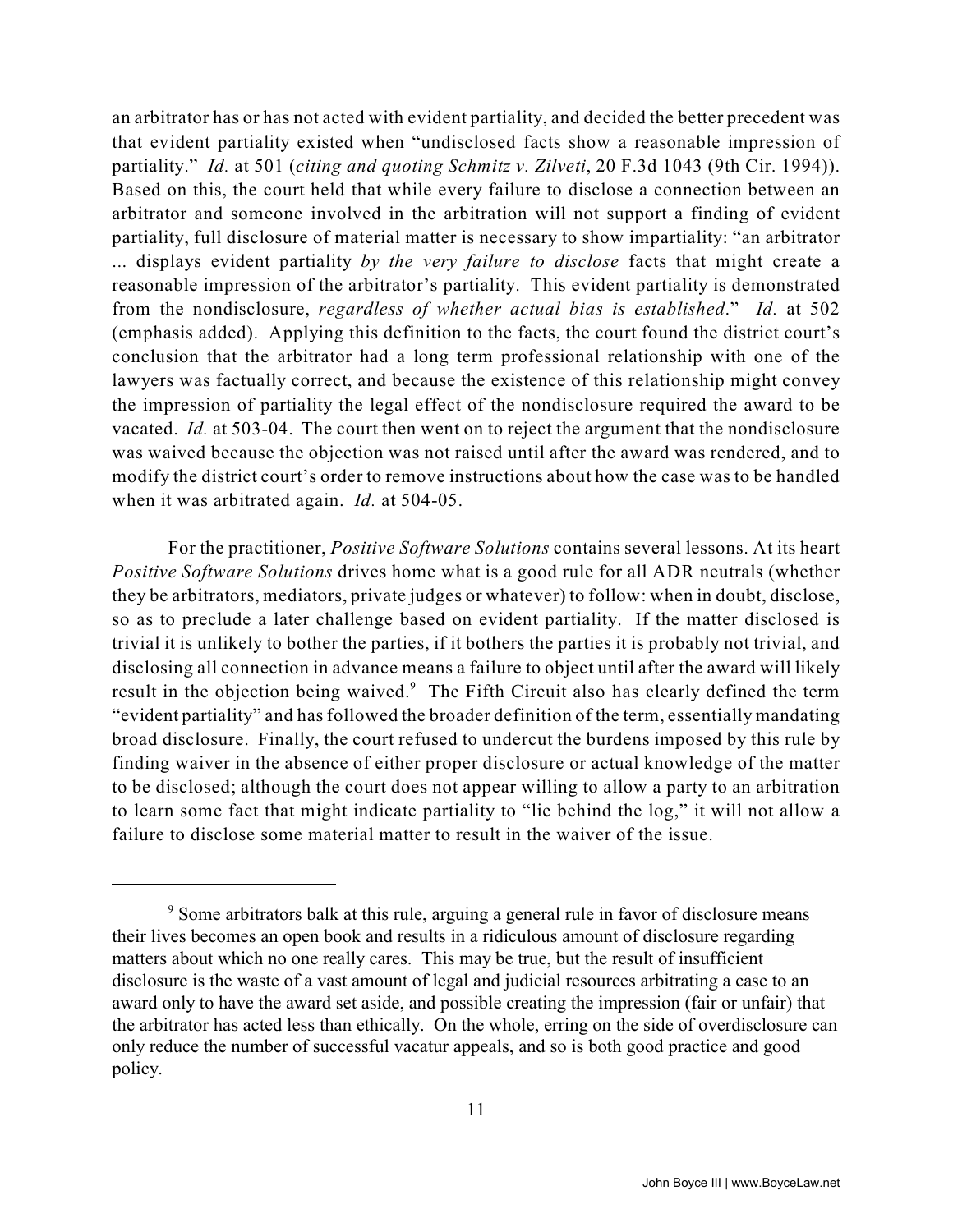an arbitrator has or has not acted with evident partiality, and decided the better precedent was that evident partiality existed when "undisclosed facts show a reasonable impression of partiality." *Id.* at 501 (*citing and quoting Schmitz v. Zilveti*, 20 F.3d 1043 (9th Cir. 1994)). Based on this, the court held that while every failure to disclose a connection between an arbitrator and someone involved in the arbitration will not support a finding of evident partiality, full disclosure of material matter is necessary to show impartiality: "an arbitrator ... displays evident partiality *by the very failure to disclose* facts that might create a reasonable impression of the arbitrator's partiality. This evident partiality is demonstrated from the nondisclosure, *regardless of whether actual bias is established*." *Id.* at 502 (emphasis added). Applying this definition to the facts, the court found the district court's conclusion that the arbitrator had a long term professional relationship with one of the lawyers was factually correct, and because the existence of this relationship might convey the impression of partiality the legal effect of the nondisclosure required the award to be vacated. *Id.* at 503-04. The court then went on to reject the argument that the nondisclosure was waived because the objection was not raised until after the award was rendered, and to modify the district court's order to remove instructions about how the case was to be handled when it was arbitrated again. *Id.* at 504-05.

For the practitioner, *Positive Software Solutions* contains several lessons. At its heart *Positive Software Solutions* drives home what is a good rule for all ADR neutrals (whether they be arbitrators, mediators, private judges or whatever) to follow: when in doubt, disclose, so as to preclude a later challenge based on evident partiality. If the matter disclosed is trivial it is unlikely to bother the parties, if it bothers the parties it is probably not trivial, and disclosing all connection in advance means a failure to object until after the award will likely result in the objection being waived.<sup>9</sup> The Fifth Circuit also has clearly defined the term "evident partiality" and has followed the broader definition of the term, essentially mandating broad disclosure. Finally, the court refused to undercut the burdens imposed by this rule by finding waiver in the absence of either proper disclosure or actual knowledge of the matter to be disclosed; although the court does not appear willing to allow a party to an arbitration to learn some fact that might indicate partiality to "lie behind the log," it will not allow a failure to disclose some material matter to result in the waiver of the issue.

<sup>&</sup>lt;sup>9</sup> Some arbitrators balk at this rule, arguing a general rule in favor of disclosure means their lives becomes an open book and results in a ridiculous amount of disclosure regarding matters about which no one really cares. This may be true, but the result of insufficient disclosure is the waste of a vast amount of legal and judicial resources arbitrating a case to an award only to have the award set aside, and possible creating the impression (fair or unfair) that the arbitrator has acted less than ethically. On the whole, erring on the side of overdisclosure can only reduce the number of successful vacatur appeals, and so is both good practice and good policy.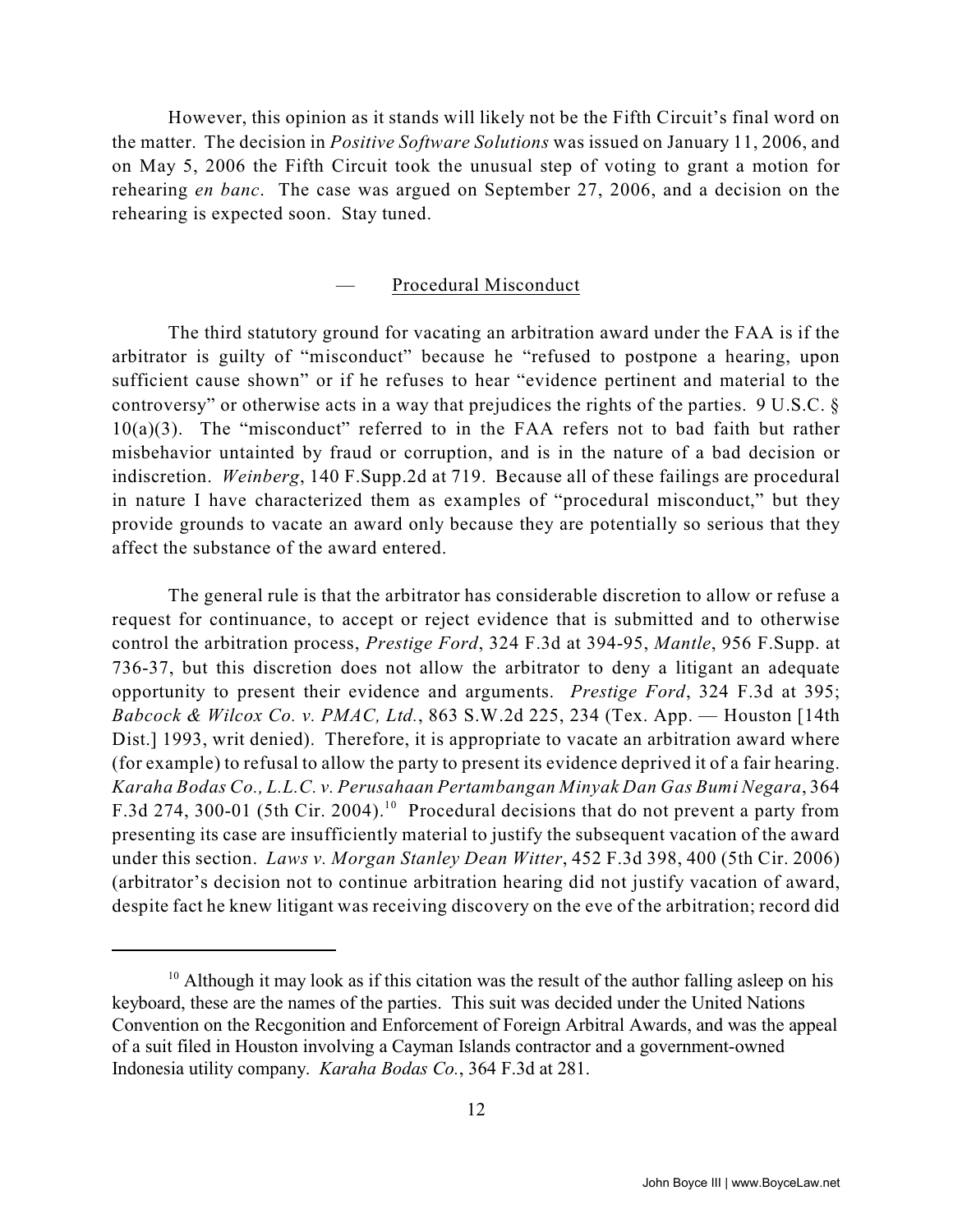However, this opinion as it stands will likely not be the Fifth Circuit's final word on the matter. The decision in *Positive Software Solutions* was issued on January 11, 2006, and on May 5, 2006 the Fifth Circuit took the unusual step of voting to grant a motion for rehearing *en banc*. The case was argued on September 27, 2006, and a decision on the rehearing is expected soon. Stay tuned.

#### — Procedural Misconduct

The third statutory ground for vacating an arbitration award under the FAA is if the arbitrator is guilty of "misconduct" because he "refused to postpone a hearing, upon sufficient cause shown" or if he refuses to hear "evidence pertinent and material to the controversy" or otherwise acts in a way that prejudices the rights of the parties. 9 U.S.C. §  $10(a)(3)$ . The "misconduct" referred to in the FAA refers not to bad faith but rather misbehavior untainted by fraud or corruption, and is in the nature of a bad decision or indiscretion. *Weinberg*, 140 F.Supp.2d at 719. Because all of these failings are procedural in nature I have characterized them as examples of "procedural misconduct," but they provide grounds to vacate an award only because they are potentially so serious that they affect the substance of the award entered.

The general rule is that the arbitrator has considerable discretion to allow or refuse a request for continuance, to accept or reject evidence that is submitted and to otherwise control the arbitration process, *Prestige Ford*, 324 F.3d at 394-95, *Mantle*, 956 F.Supp. at 736-37, but this discretion does not allow the arbitrator to deny a litigant an adequate opportunity to present their evidence and arguments. *Prestige Ford*, 324 F.3d at 395; *Babcock & Wilcox Co. v. PMAC, Ltd.*, 863 S.W.2d 225, 234 (Tex. App. — Houston [14th Dist.] 1993, writ denied). Therefore, it is appropriate to vacate an arbitration award where (for example) to refusal to allow the party to present its evidence deprived it of a fair hearing. *Karaha Bodas Co., L.L.C. v. Perusahaan Pertambangan Minyak Dan Gas Bumi Negara*, 364 F.3d 274, 300-01 (5th Cir. 2004).<sup>10</sup> Procedural decisions that do not prevent a party from presenting its case are insufficiently material to justify the subsequent vacation of the award under this section. *Laws v. Morgan Stanley Dean Witter*, 452 F.3d 398, 400 (5th Cir. 2006) (arbitrator's decision not to continue arbitration hearing did not justify vacation of award, despite fact he knew litigant was receiving discovery on the eve of the arbitration; record did

 $10$  Although it may look as if this citation was the result of the author falling asleep on his keyboard, these are the names of the parties. This suit was decided under the United Nations Convention on the Recgonition and Enforcement of Foreign Arbitral Awards, and was the appeal of a suit filed in Houston involving a Cayman Islands contractor and a government-owned Indonesia utility company. *Karaha Bodas Co.*, 364 F.3d at 281.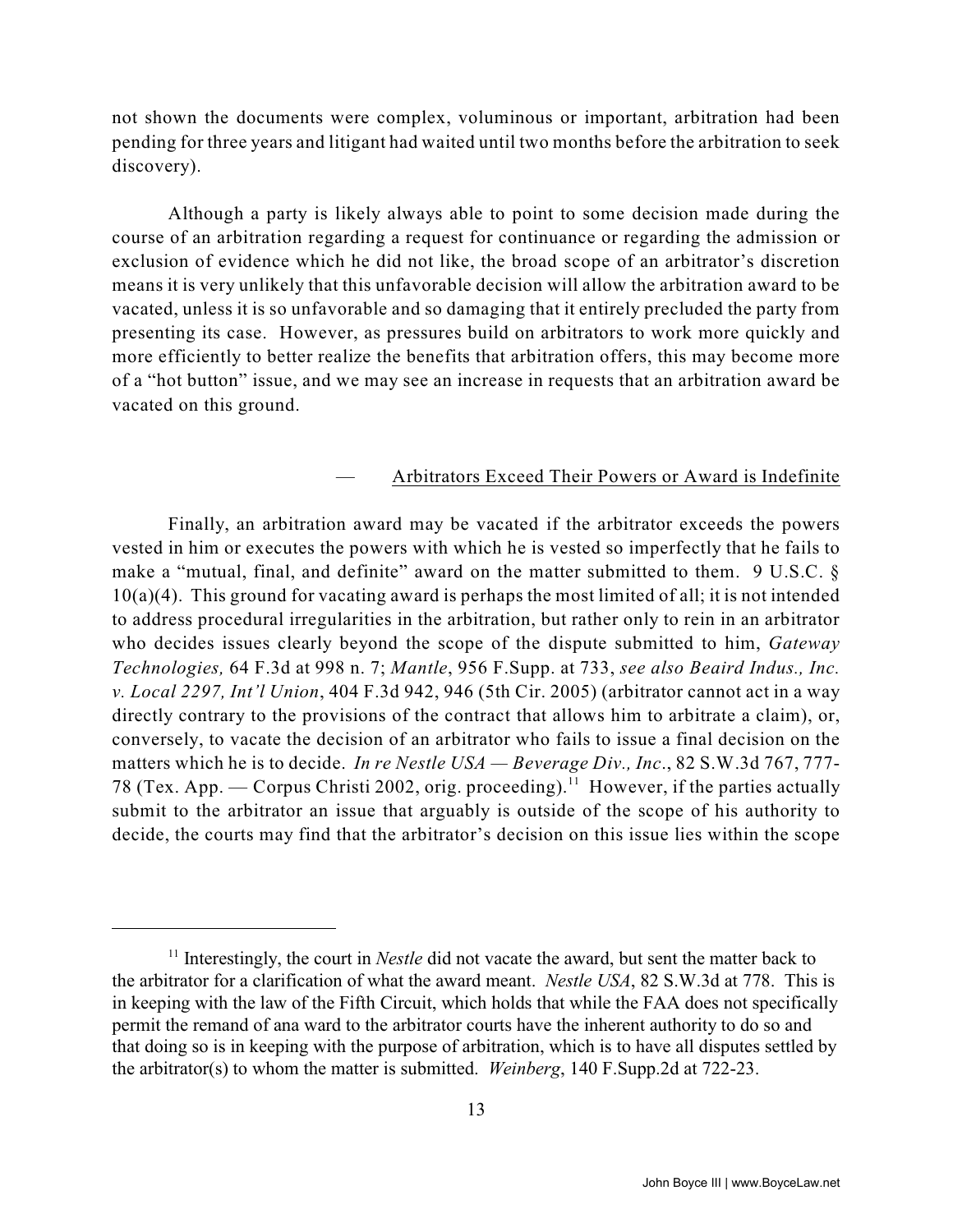not shown the documents were complex, voluminous or important, arbitration had been pending for three years and litigant had waited until two months before the arbitration to seek discovery).

Although a party is likely always able to point to some decision made during the course of an arbitration regarding a request for continuance or regarding the admission or exclusion of evidence which he did not like, the broad scope of an arbitrator's discretion means it is very unlikely that this unfavorable decision will allow the arbitration award to be vacated, unless it is so unfavorable and so damaging that it entirely precluded the party from presenting its case. However, as pressures build on arbitrators to work more quickly and more efficiently to better realize the benefits that arbitration offers, this may become more of a "hot button" issue, and we may see an increase in requests that an arbitration award be vacated on this ground.

#### — Arbitrators Exceed Their Powers or Award is Indefinite

Finally, an arbitration award may be vacated if the arbitrator exceeds the powers vested in him or executes the powers with which he is vested so imperfectly that he fails to make a "mutual, final, and definite" award on the matter submitted to them. 9 U.S.C. § 10(a)(4). This ground for vacating award is perhaps the most limited of all; it is not intended to address procedural irregularities in the arbitration, but rather only to rein in an arbitrator who decides issues clearly beyond the scope of the dispute submitted to him, *Gateway Technologies,* 64 F.3d at 998 n. 7; *Mantle*, 956 F.Supp. at 733, *see also Beaird Indus., Inc. v. Local 2297, Int'l Union*, 404 F.3d 942, 946 (5th Cir. 2005) (arbitrator cannot act in a way directly contrary to the provisions of the contract that allows him to arbitrate a claim), or, conversely, to vacate the decision of an arbitrator who fails to issue a final decision on the matters which he is to decide. *In re Nestle USA — Beverage Div., Inc*., 82 S.W.3d 767, 777- 78 (Tex. App. — Corpus Christi 2002, orig. proceeding).<sup>11</sup> However, if the parties actually submit to the arbitrator an issue that arguably is outside of the scope of his authority to decide, the courts may find that the arbitrator's decision on this issue lies within the scope

 $\frac{11}{11}$  Interestingly, the court in *Nestle* did not vacate the award, but sent the matter back to the arbitrator for a clarification of what the award meant. *Nestle USA*, 82 S.W.3d at 778. This is in keeping with the law of the Fifth Circuit, which holds that while the FAA does not specifically permit the remand of ana ward to the arbitrator courts have the inherent authority to do so and that doing so is in keeping with the purpose of arbitration, which is to have all disputes settled by the arbitrator(s) to whom the matter is submitted. *Weinberg*, 140 F.Supp.2d at 722-23.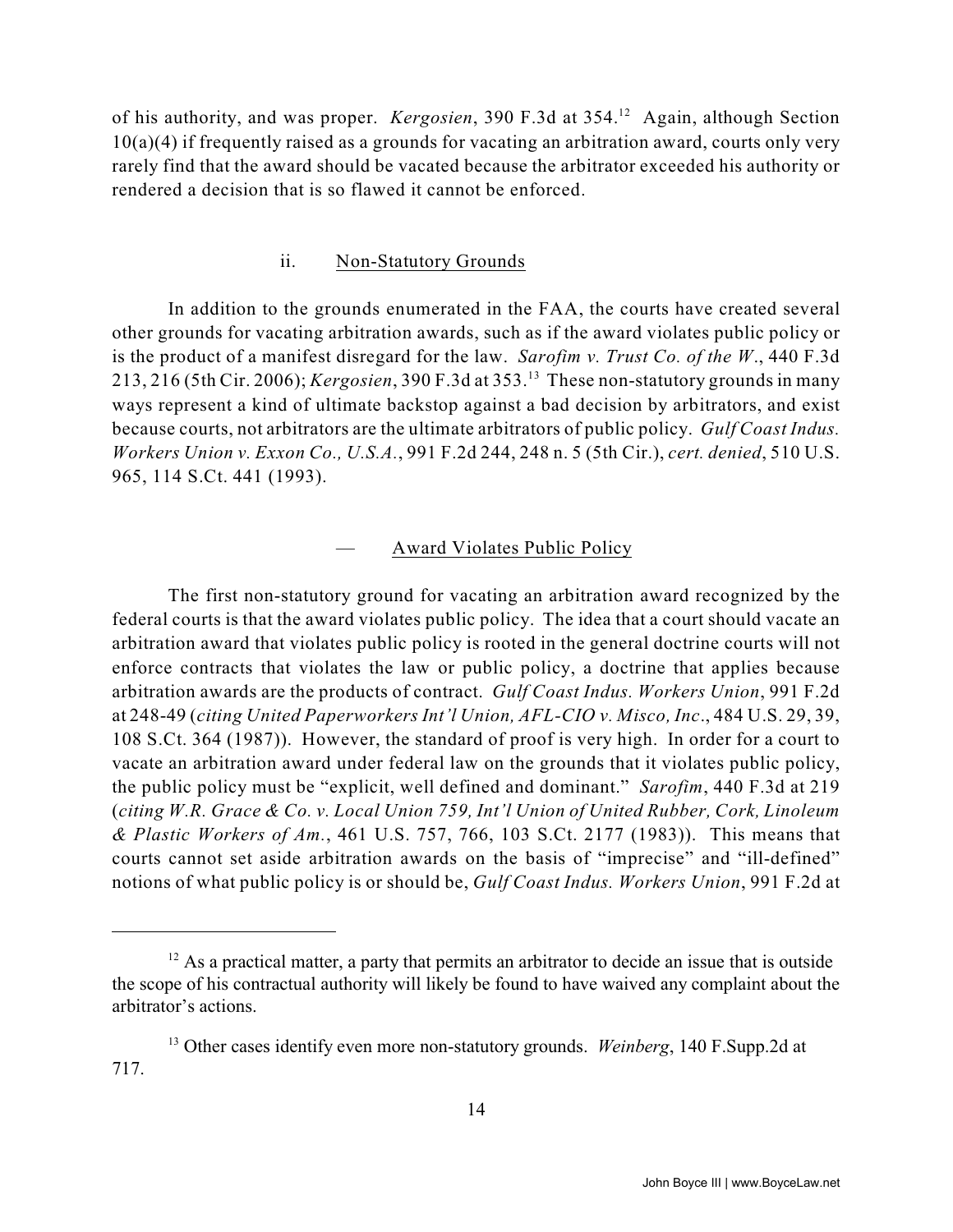of his authority, and was proper. *Kergosien*, 390 F.3d at 354.<sup>12</sup> Again, although Section 10(a)(4) if frequently raised as a grounds for vacating an arbitration award, courts only very rarely find that the award should be vacated because the arbitrator exceeded his authority or rendered a decision that is so flawed it cannot be enforced.

#### ii. Non-Statutory Grounds

In addition to the grounds enumerated in the FAA, the courts have created several other grounds for vacating arbitration awards, such as if the award violates public policy or is the product of a manifest disregard for the law. *Sarofim v. Trust Co. of the W*., 440 F.3d 213, 216 (5th Cir. 2006); *Kergosien*, 390 F.3d at 353. These non-statutory grounds in many <sup>13</sup> ways represent a kind of ultimate backstop against a bad decision by arbitrators, and exist because courts, not arbitrators are the ultimate arbitrators of public policy. *Gulf Coast Indus. Workers Union v. Exxon Co., U.S.A.*, 991 F.2d 244, 248 n. 5 (5th Cir.), *cert. denied*, 510 U.S. 965, 114 S.Ct. 441 (1993).

#### — Award Violates Public Policy

The first non-statutory ground for vacating an arbitration award recognized by the federal courts is that the award violates public policy. The idea that a court should vacate an arbitration award that violates public policy is rooted in the general doctrine courts will not enforce contracts that violates the law or public policy, a doctrine that applies because arbitration awards are the products of contract. *Gulf Coast Indus. Workers Union*, 991 F.2d at 248-49 (*citing United Paperworkers Int'l Union, AFL-CIO v. Misco, Inc*., 484 U.S. 29, 39, 108 S.Ct. 364 (1987)). However, the standard of proof is very high. In order for a court to vacate an arbitration award under federal law on the grounds that it violates public policy, the public policy must be "explicit, well defined and dominant." *Sarofim*, 440 F.3d at 219 (*citing W.R. Grace & Co. v. Local Union 759, Int'l Union of United Rubber, Cork, Linoleum & Plastic Workers of Am.*, 461 U.S. 757, 766, 103 S.Ct. 2177 (1983)). This means that courts cannot set aside arbitration awards on the basis of "imprecise" and "ill-defined" notions of what public policy is or should be, *Gulf Coast Indus. Workers Union*, 991 F.2d at

 $12$  As a practical matter, a party that permits an arbitrator to decide an issue that is outside the scope of his contractual authority will likely be found to have waived any complaint about the arbitrator's actions.

<sup>&</sup>lt;sup>13</sup> Other cases identify even more non-statutory grounds. *Weinberg*, 140 F.Supp.2d at 717.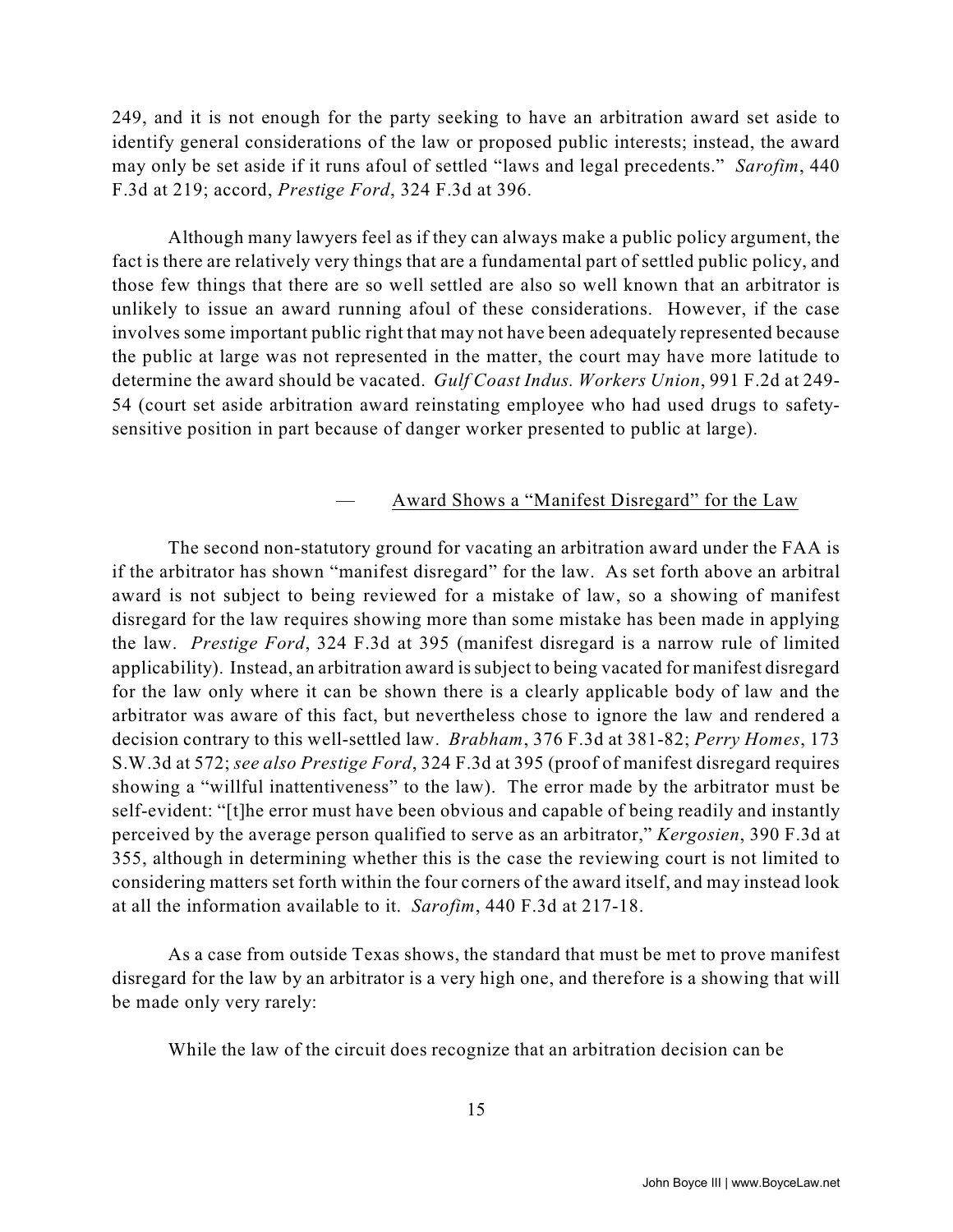249, and it is not enough for the party seeking to have an arbitration award set aside to identify general considerations of the law or proposed public interests; instead, the award may only be set aside if it runs afoul of settled "laws and legal precedents." *Sarofim*, 440 F.3d at 219; accord, *Prestige Ford*, 324 F.3d at 396.

Although many lawyers feel as if they can always make a public policy argument, the fact is there are relatively very things that are a fundamental part of settled public policy, and those few things that there are so well settled are also so well known that an arbitrator is unlikely to issue an award running afoul of these considerations. However, if the case involves some important public right that may not have been adequately represented because the public at large was not represented in the matter, the court may have more latitude to determine the award should be vacated. *Gulf Coast Indus. Workers Union*, 991 F.2d at 249- 54 (court set aside arbitration award reinstating employee who had used drugs to safetysensitive position in part because of danger worker presented to public at large).

#### — Award Shows a "Manifest Disregard" for the Law

The second non-statutory ground for vacating an arbitration award under the FAA is if the arbitrator has shown "manifest disregard" for the law. As set forth above an arbitral award is not subject to being reviewed for a mistake of law, so a showing of manifest disregard for the law requires showing more than some mistake has been made in applying the law. *Prestige Ford*, 324 F.3d at 395 (manifest disregard is a narrow rule of limited applicability). Instead, an arbitration award is subject to being vacated for manifest disregard for the law only where it can be shown there is a clearly applicable body of law and the arbitrator was aware of this fact, but nevertheless chose to ignore the law and rendered a decision contrary to this well-settled law. *Brabham*, 376 F.3d at 381-82; *Perry Homes*, 173 S.W.3d at 572; *see also Prestige Ford*, 324 F.3d at 395 (proof of manifest disregard requires showing a "willful inattentiveness" to the law). The error made by the arbitrator must be self-evident: "[t]he error must have been obvious and capable of being readily and instantly perceived by the average person qualified to serve as an arbitrator," *Kergosien*, 390 F.3d at 355, although in determining whether this is the case the reviewing court is not limited to considering matters set forth within the four corners of the award itself, and may instead look at all the information available to it. *Sarofim*, 440 F.3d at 217-18.

As a case from outside Texas shows, the standard that must be met to prove manifest disregard for the law by an arbitrator is a very high one, and therefore is a showing that will be made only very rarely:

While the law of the circuit does recognize that an arbitration decision can be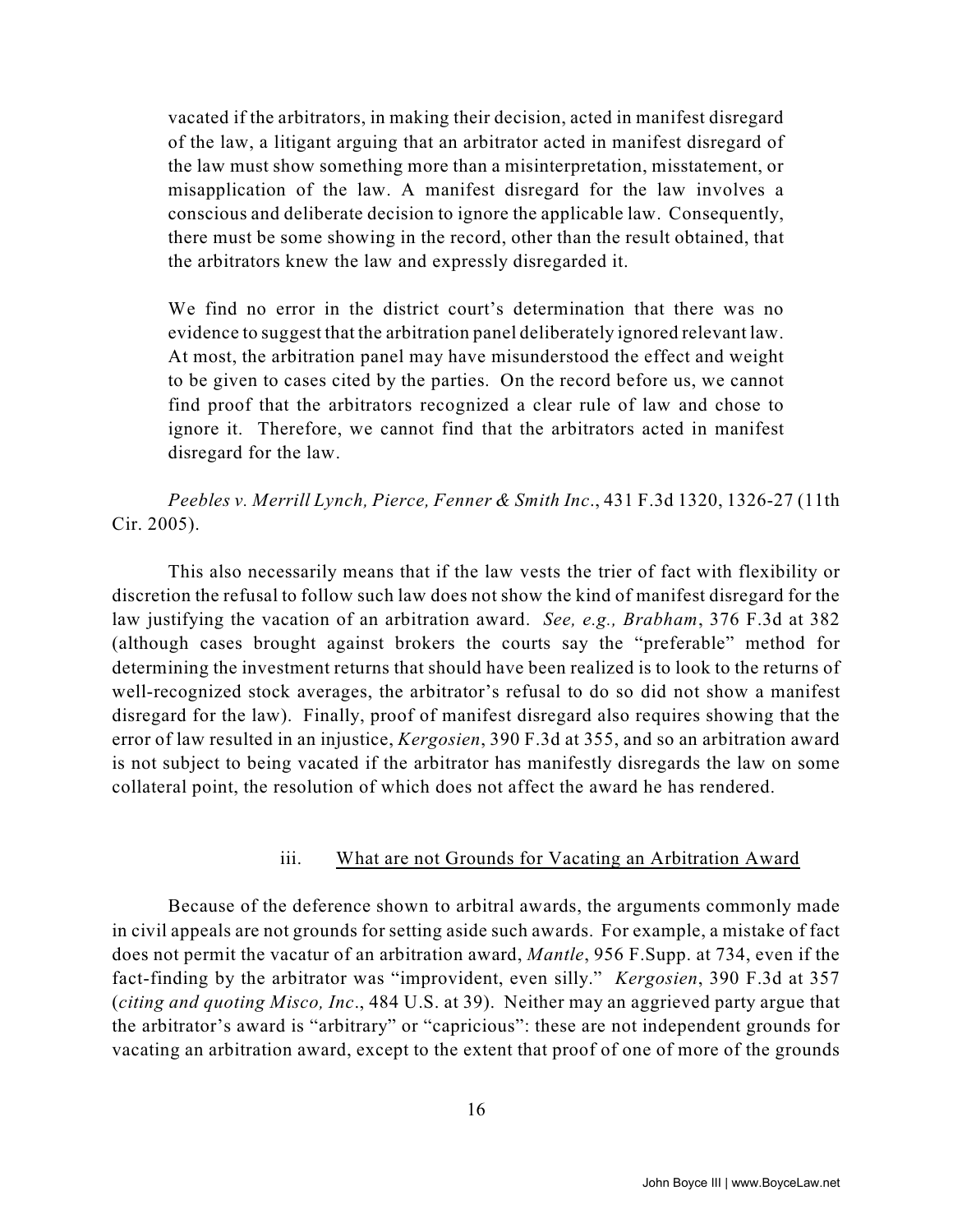vacated if the arbitrators, in making their decision, acted in manifest disregard of the law, a litigant arguing that an arbitrator acted in manifest disregard of the law must show something more than a misinterpretation, misstatement, or misapplication of the law. A manifest disregard for the law involves a conscious and deliberate decision to ignore the applicable law. Consequently, there must be some showing in the record, other than the result obtained, that the arbitrators knew the law and expressly disregarded it.

We find no error in the district court's determination that there was no evidence to suggest that the arbitration panel deliberately ignored relevant law. At most, the arbitration panel may have misunderstood the effect and weight to be given to cases cited by the parties. On the record before us, we cannot find proof that the arbitrators recognized a clear rule of law and chose to ignore it. Therefore, we cannot find that the arbitrators acted in manifest disregard for the law.

*Peebles v. Merrill Lynch, Pierce, Fenner & Smith Inc*., 431 F.3d 1320, 1326-27 (11th Cir. 2005).

This also necessarily means that if the law vests the trier of fact with flexibility or discretion the refusal to follow such law does not show the kind of manifest disregard for the law justifying the vacation of an arbitration award. *See, e.g., Brabham*, 376 F.3d at 382 (although cases brought against brokers the courts say the "preferable" method for determining the investment returns that should have been realized is to look to the returns of well-recognized stock averages, the arbitrator's refusal to do so did not show a manifest disregard for the law). Finally, proof of manifest disregard also requires showing that the error of law resulted in an injustice, *Kergosien*, 390 F.3d at 355, and so an arbitration award is not subject to being vacated if the arbitrator has manifestly disregards the law on some collateral point, the resolution of which does not affect the award he has rendered.

#### iii. What are not Grounds for Vacating an Arbitration Award

Because of the deference shown to arbitral awards, the arguments commonly made in civil appeals are not grounds for setting aside such awards. For example, a mistake of fact does not permit the vacatur of an arbitration award, *Mantle*, 956 F.Supp. at 734, even if the fact-finding by the arbitrator was "improvident, even silly." *Kergosien*, 390 F.3d at 357 (*citing and quoting Misco, Inc*., 484 U.S. at 39). Neither may an aggrieved party argue that the arbitrator's award is "arbitrary" or "capricious": these are not independent grounds for vacating an arbitration award, except to the extent that proof of one of more of the grounds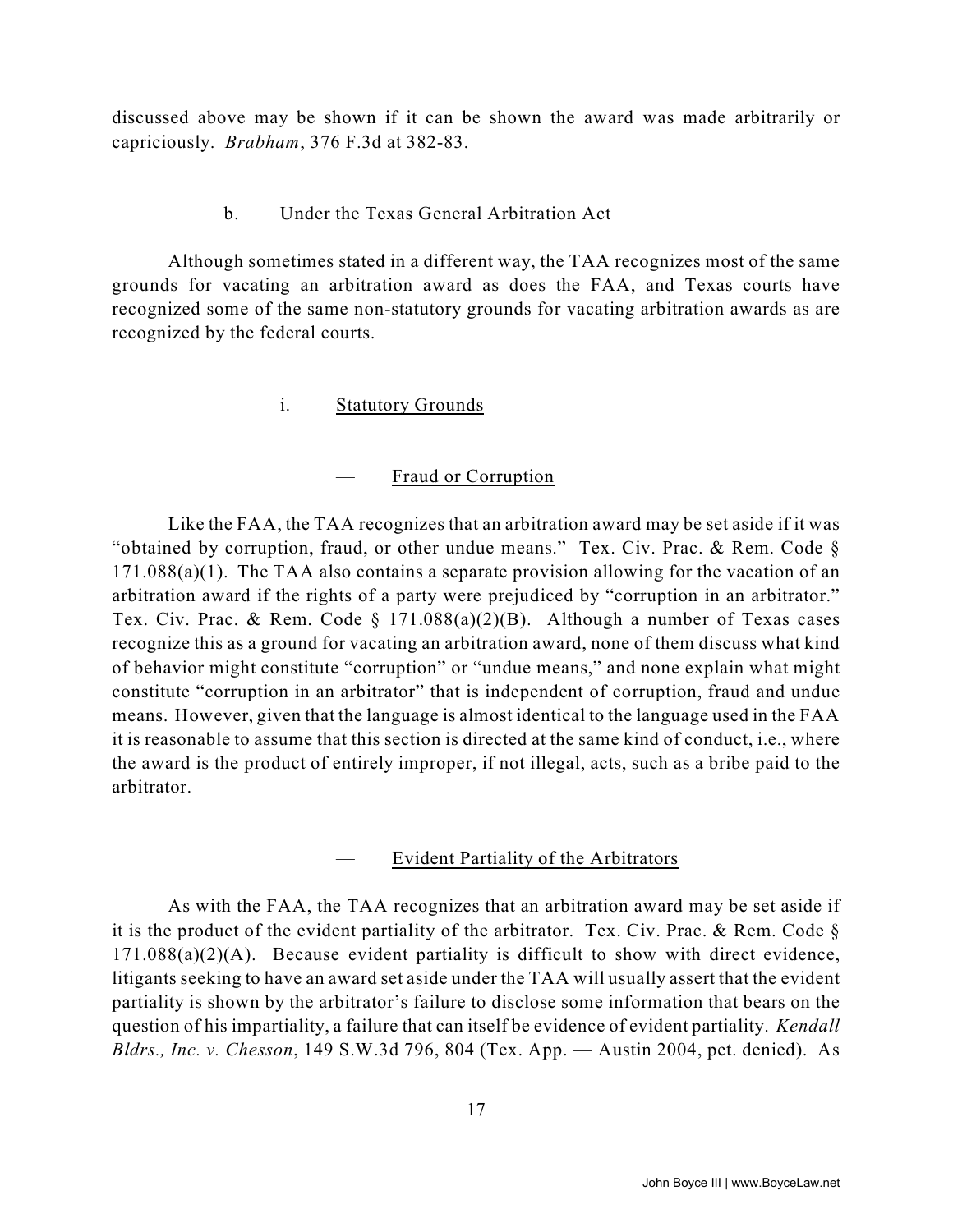discussed above may be shown if it can be shown the award was made arbitrarily or capriciously. *Brabham*, 376 F.3d at 382-83.

#### b. Under the Texas General Arbitration Act

Although sometimes stated in a different way, the TAA recognizes most of the same grounds for vacating an arbitration award as does the FAA, and Texas courts have recognized some of the same non-statutory grounds for vacating arbitration awards as are recognized by the federal courts.

#### i. Statutory Grounds

#### — Fraud or Corruption

Like the FAA, the TAA recognizes that an arbitration award may be set aside if it was "obtained by corruption, fraud, or other undue means." Tex. Civ. Prac. & Rem. Code § 171.088(a)(1). The TAA also contains a separate provision allowing for the vacation of an arbitration award if the rights of a party were prejudiced by "corruption in an arbitrator." Tex. Civ. Prac. & Rem. Code § 171.088(a)(2)(B). Although a number of Texas cases recognize this as a ground for vacating an arbitration award, none of them discuss what kind of behavior might constitute "corruption" or "undue means," and none explain what might constitute "corruption in an arbitrator" that is independent of corruption, fraud and undue means. However, given that the language is almost identical to the language used in the FAA it is reasonable to assume that this section is directed at the same kind of conduct, i.e., where the award is the product of entirely improper, if not illegal, acts, such as a bribe paid to the arbitrator.

#### — Evident Partiality of the Arbitrators

As with the FAA, the TAA recognizes that an arbitration award may be set aside if it is the product of the evident partiality of the arbitrator. Tex. Civ. Prac. & Rem. Code  $\S$  $171.088(a)(2)(A)$ . Because evident partiality is difficult to show with direct evidence, litigants seeking to have an award set aside under the TAA will usually assert that the evident partiality is shown by the arbitrator's failure to disclose some information that bears on the question of his impartiality, a failure that can itself be evidence of evident partiality. *Kendall Bldrs., Inc. v. Chesson*, 149 S.W.3d 796, 804 (Tex. App. — Austin 2004, pet. denied). As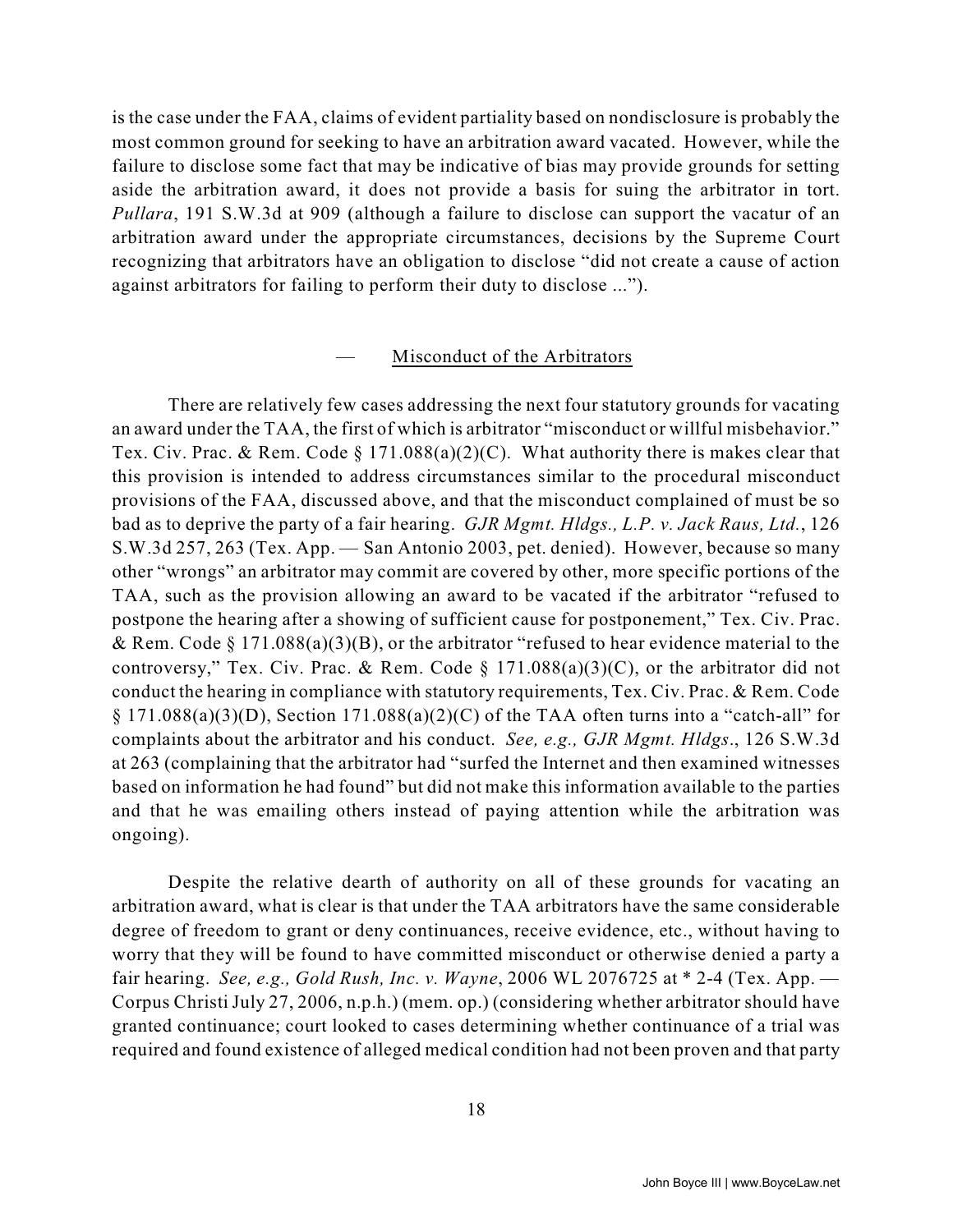is the case under the FAA, claims of evident partiality based on nondisclosure is probably the most common ground for seeking to have an arbitration award vacated. However, while the failure to disclose some fact that may be indicative of bias may provide grounds for setting aside the arbitration award, it does not provide a basis for suing the arbitrator in tort. *Pullara*, 191 S.W.3d at 909 (although a failure to disclose can support the vacatur of an arbitration award under the appropriate circumstances, decisions by the Supreme Court recognizing that arbitrators have an obligation to disclose "did not create a cause of action against arbitrators for failing to perform their duty to disclose ...").

#### Misconduct of the Arbitrators

There are relatively few cases addressing the next four statutory grounds for vacating an award under the TAA, the first of which is arbitrator "misconduct or willful misbehavior." Tex. Civ. Prac. & Rem. Code § 171.088(a)(2)(C). What authority there is makes clear that this provision is intended to address circumstances similar to the procedural misconduct provisions of the FAA, discussed above, and that the misconduct complained of must be so bad as to deprive the party of a fair hearing. *GJR Mgmt. Hldgs., L.P. v. Jack Raus, Ltd.*, 126 S.W.3d 257, 263 (Tex. App. — San Antonio 2003, pet. denied). However, because so many other "wrongs" an arbitrator may commit are covered by other, more specific portions of the TAA, such as the provision allowing an award to be vacated if the arbitrator "refused to postpone the hearing after a showing of sufficient cause for postponement," Tex. Civ. Prac. & Rem. Code § 171.088(a)(3)(B), or the arbitrator "refused to hear evidence material to the controversy," Tex. Civ. Prac. & Rem. Code  $\S$  171.088(a)(3)(C), or the arbitrator did not conduct the hearing in compliance with statutory requirements, Tex. Civ. Prac. & Rem. Code  $\S 171.088(a)(3)(D)$ , Section 171.088(a)(2)(C) of the TAA often turns into a "catch-all" for complaints about the arbitrator and his conduct. *See, e.g., GJR Mgmt. Hldgs*., 126 S.W.3d at 263 (complaining that the arbitrator had "surfed the Internet and then examined witnesses based on information he had found" but did not make this information available to the parties and that he was emailing others instead of paying attention while the arbitration was ongoing).

Despite the relative dearth of authority on all of these grounds for vacating an arbitration award, what is clear is that under the TAA arbitrators have the same considerable degree of freedom to grant or deny continuances, receive evidence, etc., without having to worry that they will be found to have committed misconduct or otherwise denied a party a fair hearing. *See, e.g., Gold Rush, Inc. v. Wayne*, 2006 WL 2076725 at \* 2-4 (Tex. App. — Corpus Christi July 27, 2006, n.p.h.) (mem. op.) (considering whether arbitrator should have granted continuance; court looked to cases determining whether continuance of a trial was required and found existence of alleged medical condition had not been proven and that party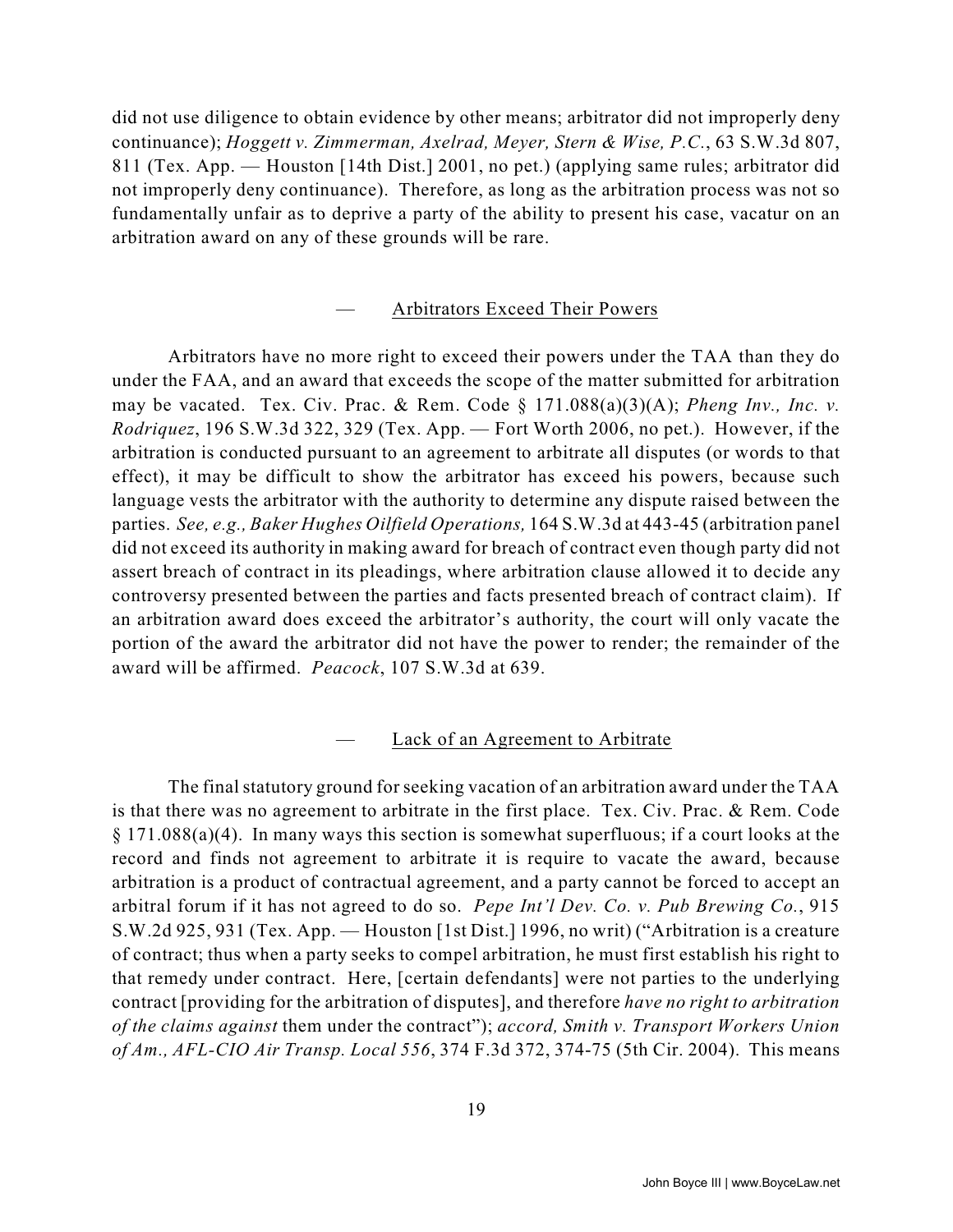did not use diligence to obtain evidence by other means; arbitrator did not improperly deny continuance); *Hoggett v. Zimmerman, Axelrad, Meyer, Stern & Wise, P.C.*, 63 S.W.3d 807, 811 (Tex. App. — Houston [14th Dist.] 2001, no pet.) (applying same rules; arbitrator did not improperly deny continuance). Therefore, as long as the arbitration process was not so fundamentally unfair as to deprive a party of the ability to present his case, vacatur on an arbitration award on any of these grounds will be rare.

#### — Arbitrators Exceed Their Powers

Arbitrators have no more right to exceed their powers under the TAA than they do under the FAA, and an award that exceeds the scope of the matter submitted for arbitration may be vacated. Tex. Civ. Prac. & Rem. Code  $\S 171.088(a)(3)(A)$ ; *Pheng Inv., Inc. v. Rodriquez*, 196 S.W.3d 322, 329 (Tex. App. — Fort Worth 2006, no pet.). However, if the arbitration is conducted pursuant to an agreement to arbitrate all disputes (or words to that effect), it may be difficult to show the arbitrator has exceed his powers, because such language vests the arbitrator with the authority to determine any dispute raised between the parties. *See, e.g., Baker Hughes Oilfield Operations,* 164 S.W.3d at 443-45 (arbitration panel did not exceed its authority in making award for breach of contract even though party did not assert breach of contract in its pleadings, where arbitration clause allowed it to decide any controversy presented between the parties and facts presented breach of contract claim). If an arbitration award does exceed the arbitrator's authority, the court will only vacate the portion of the award the arbitrator did not have the power to render; the remainder of the award will be affirmed. *Peacock*, 107 S.W.3d at 639.

#### Lack of an Agreement to Arbitrate

The final statutory ground for seeking vacation of an arbitration award under the TAA is that there was no agreement to arbitrate in the first place. Tex. Civ. Prac. & Rem. Code § 171.088(a)(4). In many ways this section is somewhat superfluous; if a court looks at the record and finds not agreement to arbitrate it is require to vacate the award, because arbitration is a product of contractual agreement, and a party cannot be forced to accept an arbitral forum if it has not agreed to do so. *Pepe Int'l Dev. Co. v. Pub Brewing Co.*, 915 S.W.2d 925, 931 (Tex. App. — Houston [1st Dist.] 1996, no writ) ("Arbitration is a creature of contract; thus when a party seeks to compel arbitration, he must first establish his right to that remedy under contract. Here, [certain defendants] were not parties to the underlying contract [providing for the arbitration of disputes], and therefore *have no right to arbitration of the claims against* them under the contract"); *accord, Smith v. Transport Workers Union of Am., AFL-CIO Air Transp. Local 556*, 374 F.3d 372, 374-75 (5th Cir. 2004). This means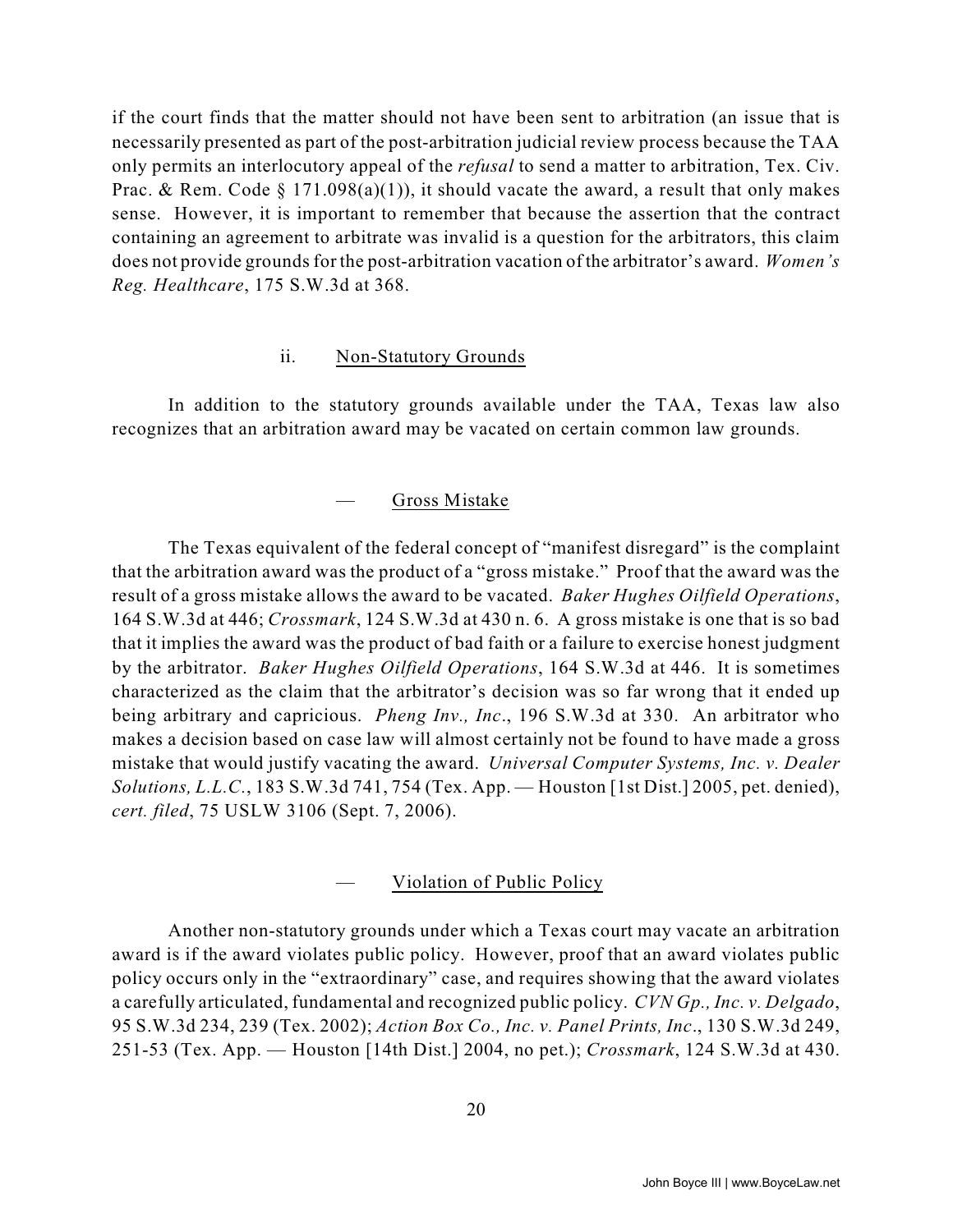if the court finds that the matter should not have been sent to arbitration (an issue that is necessarily presented as part of the post-arbitration judicial review process because the TAA only permits an interlocutory appeal of the *refusal* to send a matter to arbitration, Tex. Civ. Prac. & Rem. Code § 171.098(a)(1)), it should vacate the award, a result that only makes sense. However, it is important to remember that because the assertion that the contract containing an agreement to arbitrate was invalid is a question for the arbitrators, this claim does not provide grounds for the post-arbitration vacation of the arbitrator's award. *Women's Reg. Healthcare*, 175 S.W.3d at 368.

#### ii. Non-Statutory Grounds

In addition to the statutory grounds available under the TAA, Texas law also recognizes that an arbitration award may be vacated on certain common law grounds.

#### — Gross Mistake

The Texas equivalent of the federal concept of "manifest disregard" is the complaint that the arbitration award was the product of a "gross mistake." Proof that the award was the result of a gross mistake allows the award to be vacated. *Baker Hughes Oilfield Operations*, 164 S.W.3d at 446; *Crossmark*, 124 S.W.3d at 430 n. 6. A gross mistake is one that is so bad that it implies the award was the product of bad faith or a failure to exercise honest judgment by the arbitrator. *Baker Hughes Oilfield Operations*, 164 S.W.3d at 446. It is sometimes characterized as the claim that the arbitrator's decision was so far wrong that it ended up being arbitrary and capricious. *Pheng Inv., Inc*., 196 S.W.3d at 330. An arbitrator who makes a decision based on case law will almost certainly not be found to have made a gross mistake that would justify vacating the award. *Universal Computer Systems, Inc. v. Dealer Solutions, L.L.C.*, 183 S.W.3d 741, 754 (Tex. App. — Houston [1st Dist.] 2005, pet. denied), *cert. filed*, 75 USLW 3106 (Sept. 7, 2006).

#### — Violation of Public Policy

Another non-statutory grounds under which a Texas court may vacate an arbitration award is if the award violates public policy. However, proof that an award violates public policy occurs only in the "extraordinary" case, and requires showing that the award violates a carefully articulated, fundamental and recognized public policy. *CVN Gp., Inc. v. Delgado*, 95 S.W.3d 234, 239 (Tex. 2002); *Action Box Co., Inc. v. Panel Prints, Inc*., 130 S.W.3d 249, 251-53 (Tex. App. — Houston [14th Dist.] 2004, no pet.); *Crossmark*, 124 S.W.3d at 430.